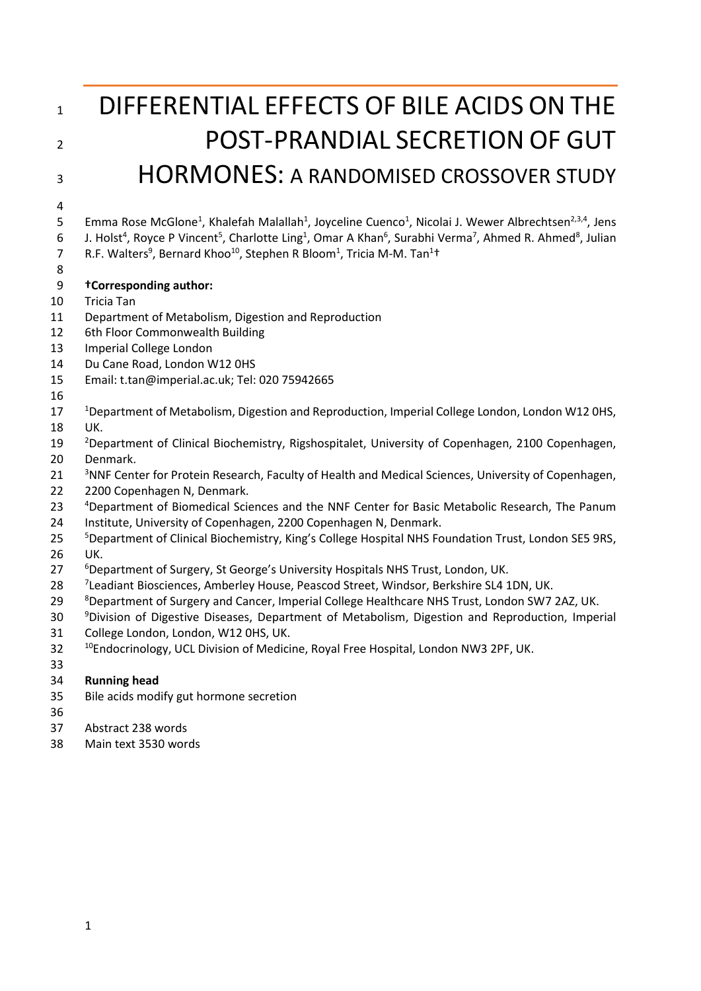# 1 DIFFERENTIAL EFFECTS OF BILE ACIDS ON THE 2 POST-PRANDIAL SECRETION OF GUT HORMONES: A RANDOMISED CROSSOVER STUDY

- 
- 5 Emma Rose McGlone<sup>1</sup>, Khalefah Malallah<sup>1</sup>, Joyceline Cuenco<sup>1</sup>, Nicolai J. Wewer Albrechtsen<sup>2,3,4</sup>, Jens 6 J. Holst<sup>4</sup>, Royce P Vincent<sup>5</sup>, Charlotte Ling<sup>1</sup>, Omar A Khan<sup>6</sup>, Surabhi Verma<sup>7</sup>, Ahmed R. Ahmed<sup>8</sup>, Julian

7 R.F. Walters<sup>9</sup>, Bernard Khoo<sup>10</sup>, Stephen R Bloom<sup>1</sup>, Tricia M-M. Tan<sup>1†</sup>

- 
- **†Corresponding author:**
- Tricia Tan
- Department of Metabolism, Digestion and Reproduction
- 6th Floor Commonwealth Building
- Imperial College London
- Du Cane Road, London W12 0HS
- Email: t.tan@imperial.ac.uk; Tel: 020 75942665
- 
- 17 <sup>1</sup>Department of Metabolism, Digestion and Reproduction, Imperial College London, London W12 0HS, UK.
- <sup>2</sup> Department of Clinical Biochemistry, Rigshospitalet, University of Copenhagen, 2100 Copenhagen, Denmark.
- <sup>3</sup> NNF Center for Protein Research, Faculty of Health and Medical Sciences, University of Copenhagen,
- 2200 Copenhagen N, Denmark.
- 23 <sup>4</sup> Department of Biomedical Sciences and the NNF Center for Basic Metabolic Research, The Panum
- Institute, University of Copenhagen, 2200 Copenhagen N, Denmark.
- <sup>5</sup> Department of Clinical Biochemistry, King's College Hospital NHS Foundation Trust, London SE5 9RS, UK.
- <sup>6</sup> Department of Surgery, St George's University Hospitals NHS Trust, London, UK.
- 28 <sup>7</sup> Leadiant Biosciences, Amberley House, Peascod Street, Windsor, Berkshire SL4 1DN, UK.
- 8 29 Bepartment of Surgery and Cancer, Imperial College Healthcare NHS Trust, London SW7 2AZ, UK.
- 30 <sup>9</sup> Division of Digestive Diseases, Department of Metabolism, Digestion and Reproduction, Imperial
- College London, London, W12 0HS, UK.
- 32 <sup>10</sup> Endocrinology, UCL Division of Medicine, Royal Free Hospital, London NW3 2PF, UK.
- **Running head**
- Bile acids modify gut hormone secretion
- 
- Abstract 238 words
- Main text 3530 words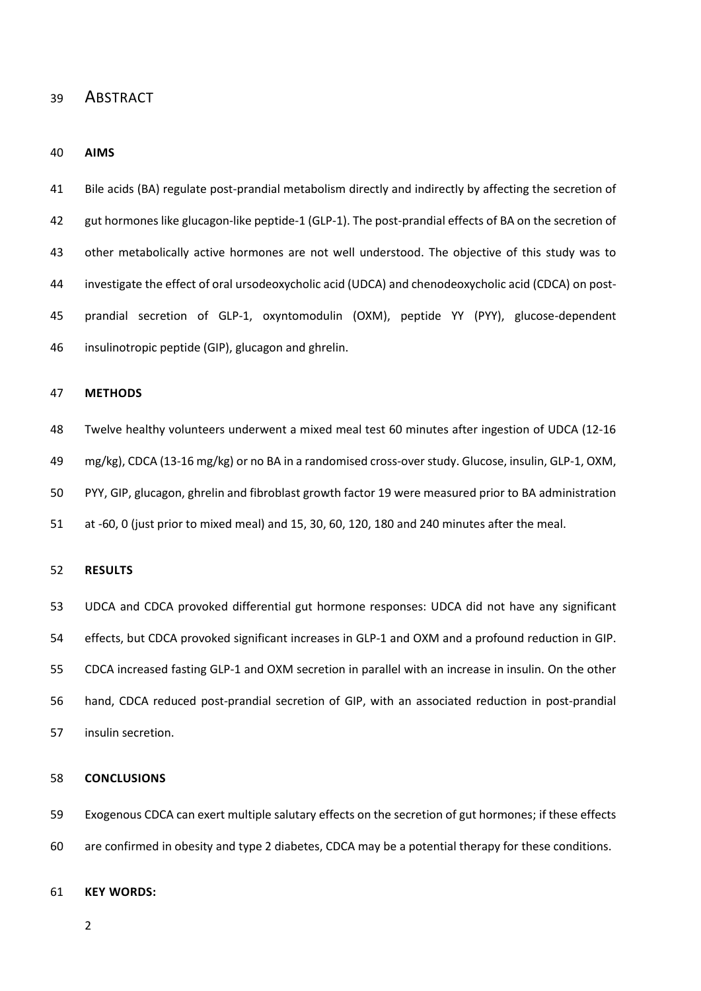## ABSTRACT

#### **AIMS**

 Bile acids (BA) regulate post-prandial metabolism directly and indirectly by affecting the secretion of gut hormones like glucagon-like peptide-1 (GLP-1). The post-prandial effects of BA on the secretion of other metabolically active hormones are not well understood. The objective of this study was to investigate the effect of oral ursodeoxycholic acid (UDCA) and chenodeoxycholic acid (CDCA) on post- prandial secretion of GLP-1, oxyntomodulin (OXM), peptide YY (PYY), glucose-dependent insulinotropic peptide (GIP), glucagon and ghrelin.

#### **METHODS**

 Twelve healthy volunteers underwent a mixed meal test 60 minutes after ingestion of UDCA (12-16 mg/kg), CDCA (13-16 mg/kg) or no BA in a randomised cross-over study. Glucose, insulin, GLP-1, OXM, PYY, GIP, glucagon, ghrelin and fibroblast growth factor 19 were measured prior to BA administration at -60, 0 (just prior to mixed meal) and 15, 30, 60, 120, 180 and 240 minutes after the meal.

#### **RESULTS**

 UDCA and CDCA provoked differential gut hormone responses: UDCA did not have any significant effects, but CDCA provoked significant increases in GLP-1 and OXM and a profound reduction in GIP. CDCA increased fasting GLP-1 and OXM secretion in parallel with an increase in insulin. On the other hand, CDCA reduced post-prandial secretion of GIP, with an associated reduction in post-prandial insulin secretion.

#### **CONCLUSIONS**

 Exogenous CDCA can exert multiple salutary effects on the secretion of gut hormones; if these effects are confirmed in obesity and type 2 diabetes, CDCA may be a potential therapy for these conditions.

#### **KEY WORDS:**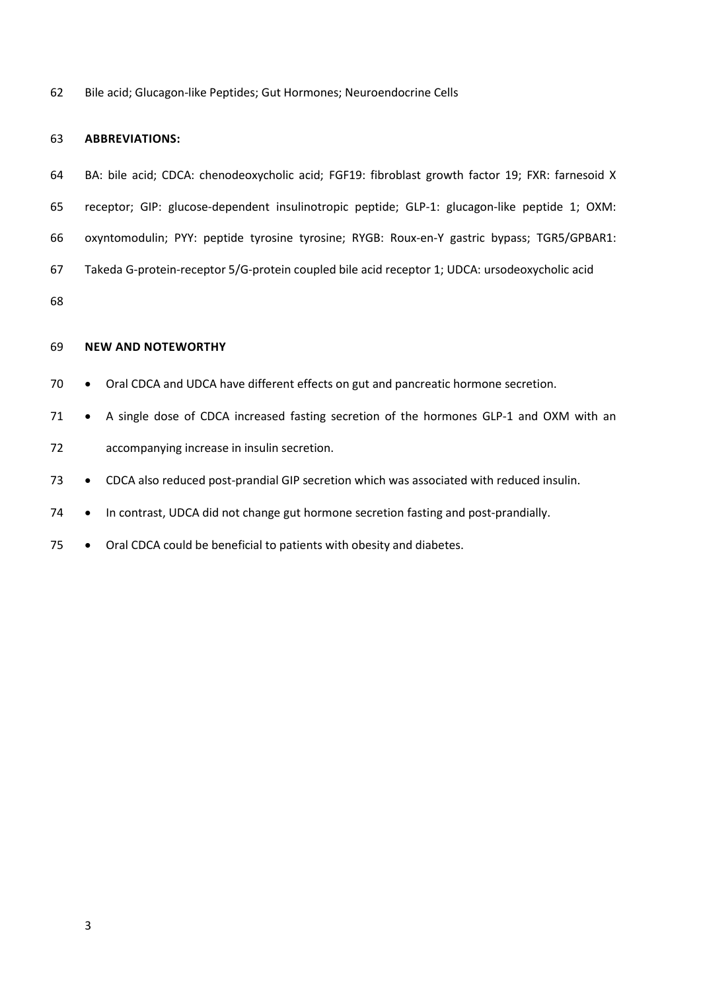Bile acid; Glucagon-like Peptides; Gut Hormones; Neuroendocrine Cells

#### **ABBREVIATIONS:**

- BA: bile acid; CDCA: chenodeoxycholic acid; FGF19: fibroblast growth factor 19; FXR: farnesoid X
- receptor; GIP: glucose-dependent insulinotropic peptide; GLP-1: glucagon-like peptide 1; OXM:
- oxyntomodulin; PYY: peptide tyrosine tyrosine; RYGB: Roux-en-Y gastric bypass; TGR5/GPBAR1:
- Takeda G-protein-receptor 5/G-protein coupled bile acid receptor 1; UDCA: ursodeoxycholic acid

#### **NEW AND NOTEWORTHY**

- 70 Oral CDCA and UDCA have different effects on gut and pancreatic hormone secretion.
- 71 A single dose of CDCA increased fasting secretion of the hormones GLP-1 and OXM with an accompanying increase in insulin secretion.
- CDCA also reduced post-prandial GIP secretion which was associated with reduced insulin.
- In contrast, UDCA did not change gut hormone secretion fasting and post-prandially.
- 75 Oral CDCA could be beneficial to patients with obesity and diabetes.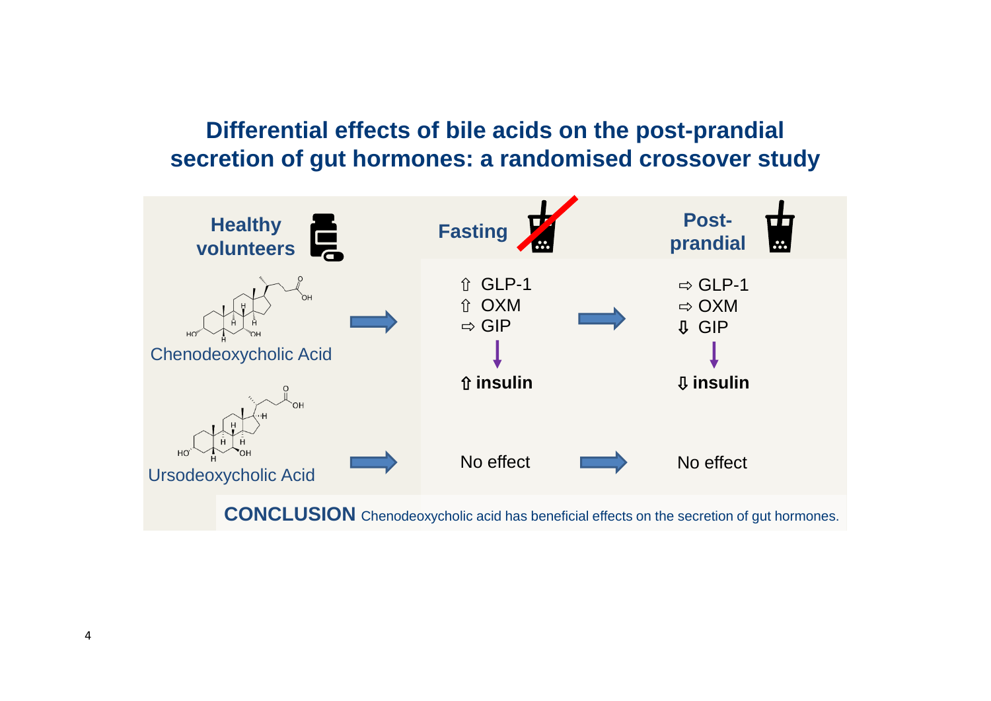# **Differential effects of bile acids on the post-prandial secretion of gut hormones: a randomised crossover study**

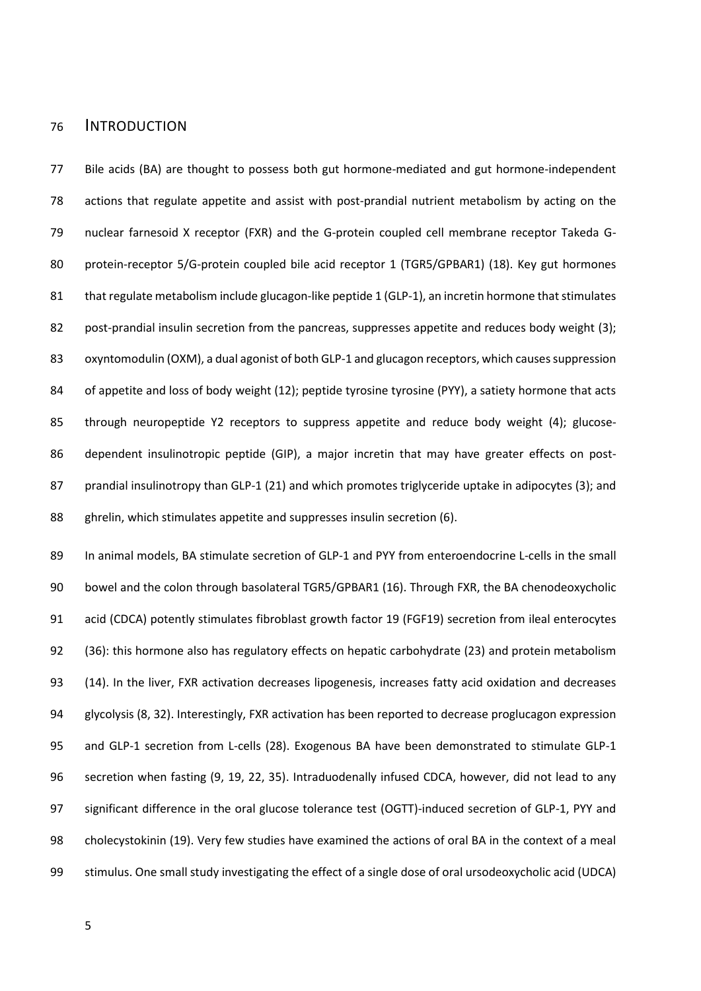## INTRODUCTION

 Bile acids (BA) are thought to possess both gut hormone-mediated and gut hormone-independent actions that regulate appetite and assist with post-prandial nutrient metabolism by acting on the nuclear farnesoid X receptor (FXR) and the G-protein coupled cell membrane receptor Takeda G- protein-receptor 5/G-protein coupled bile acid receptor 1 (TGR5/GPBAR1) (18). Key gut hormones 81 that regulate metabolism include glucagon-like peptide 1 (GLP-1), an incretin hormone that stimulates 82 post-prandial insulin secretion from the pancreas, suppresses appetite and reduces body weight (3); 83 oxyntomodulin (OXM), a dual agonist of both GLP-1 and glucagon receptors, which causes suppression 84 of appetite and loss of body weight (12); peptide tyrosine tyrosine (PYY), a satiety hormone that acts through neuropeptide Y2 receptors to suppress appetite and reduce body weight (4); glucose- dependent insulinotropic peptide (GIP), a major incretin that may have greater effects on post-87 prandial insulinotropy than GLP-1 (21) and which promotes triglyceride uptake in adipocytes (3); and ghrelin, which stimulates appetite and suppresses insulin secretion (6).

 In animal models, BA stimulate secretion of GLP-1 and PYY from enteroendocrine L-cells in the small bowel and the colon through basolateral TGR5/GPBAR1 (16). Through FXR, the BA chenodeoxycholic acid (CDCA) potently stimulates fibroblast growth factor 19 (FGF19) secretion from ileal enterocytes (36): this hormone also has regulatory effects on hepatic carbohydrate (23) and protein metabolism (14). In the liver, FXR activation decreases lipogenesis, increases fatty acid oxidation and decreases glycolysis (8, 32). Interestingly, FXR activation has been reported to decrease proglucagon expression and GLP-1 secretion from L-cells (28). Exogenous BA have been demonstrated to stimulate GLP-1 secretion when fasting (9, 19, 22, 35). Intraduodenally infused CDCA, however, did not lead to any significant difference in the oral glucose tolerance test (OGTT)-induced secretion of GLP-1, PYY and cholecystokinin (19). Very few studies have examined the actions of oral BA in the context of a meal stimulus. One small study investigating the effect of a single dose of oral ursodeoxycholic acid (UDCA)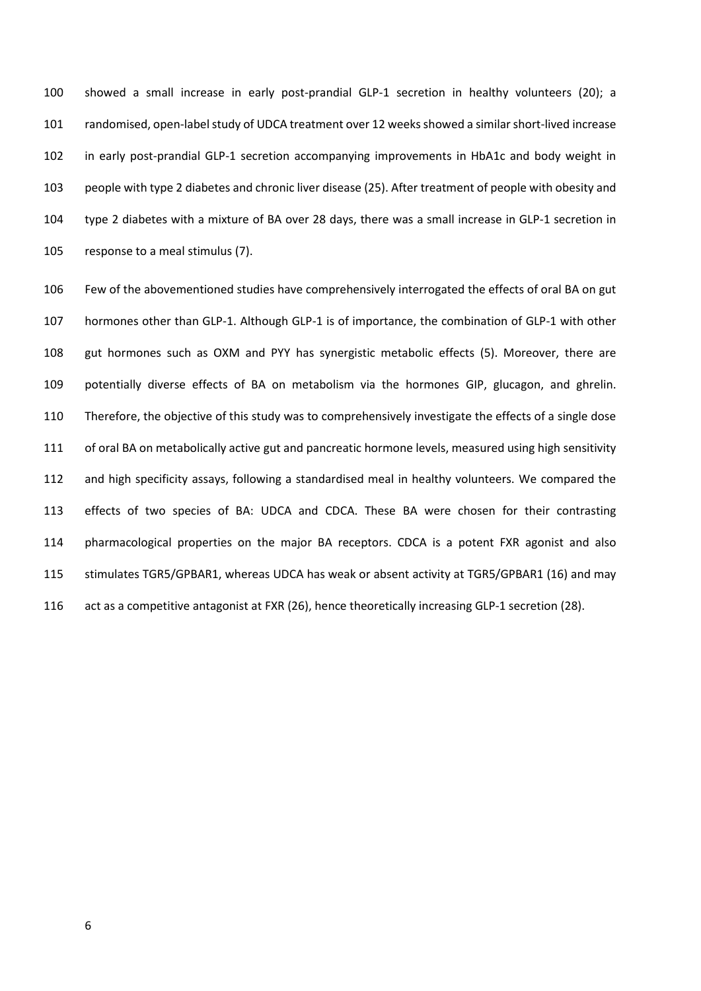showed a small increase in early post-prandial GLP-1 secretion in healthy volunteers (20); a randomised, open-label study of UDCA treatment over 12 weeks showed a similarshort-lived increase in early post-prandial GLP-1 secretion accompanying improvements in HbA1c and body weight in people with type 2 diabetes and chronic liver disease (25). After treatment of people with obesity and type 2 diabetes with a mixture of BA over 28 days, there was a small increase in GLP-1 secretion in response to a meal stimulus (7).

 Few of the abovementioned studies have comprehensively interrogated the effects of oral BA on gut hormones other than GLP-1. Although GLP-1 is of importance, the combination of GLP-1 with other gut hormones such as OXM and PYY has synergistic metabolic effects (5). Moreover, there are potentially diverse effects of BA on metabolism via the hormones GIP, glucagon, and ghrelin. Therefore, the objective of this study was to comprehensively investigate the effects of a single dose 111 of oral BA on metabolically active gut and pancreatic hormone levels, measured using high sensitivity and high specificity assays, following a standardised meal in healthy volunteers. We compared the effects of two species of BA: UDCA and CDCA. These BA were chosen for their contrasting pharmacological properties on the major BA receptors. CDCA is a potent FXR agonist and also stimulates TGR5/GPBAR1, whereas UDCA has weak or absent activity at TGR5/GPBAR1 (16) and may act as a competitive antagonist at FXR (26), hence theoretically increasing GLP-1 secretion (28).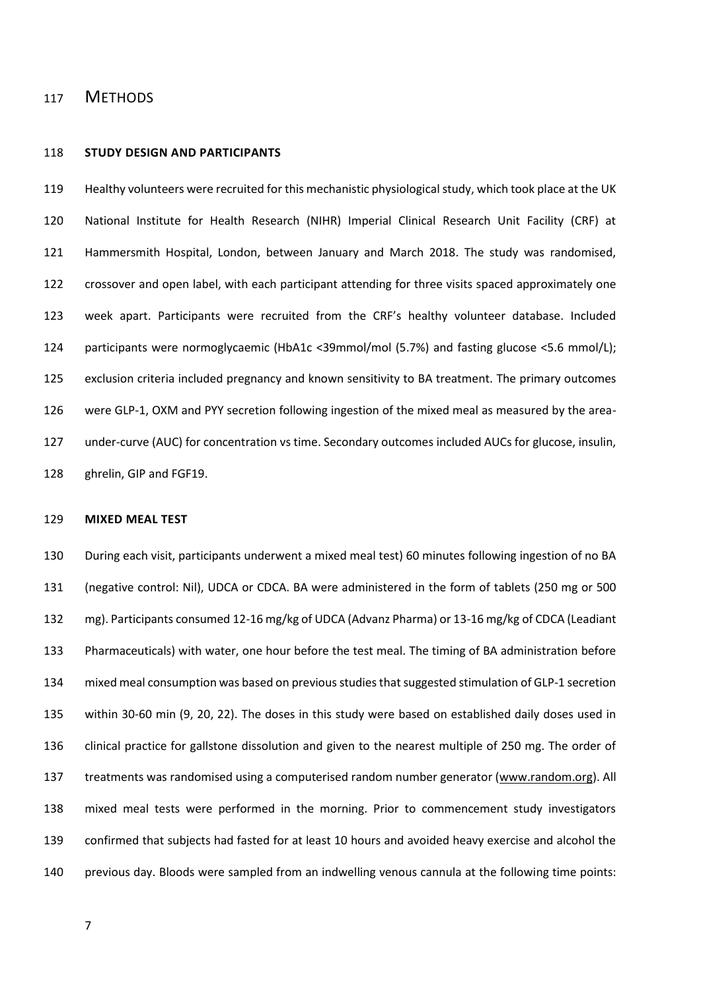## METHODS

#### **STUDY DESIGN AND PARTICIPANTS**

 Healthy volunteers were recruited for this mechanistic physiological study, which took place at the UK National Institute for Health Research (NIHR) Imperial Clinical Research Unit Facility (CRF) at Hammersmith Hospital, London, between January and March 2018. The study was randomised, crossover and open label, with each participant attending for three visits spaced approximately one week apart. Participants were recruited from the CRF's healthy volunteer database. Included participants were normoglycaemic (HbA1c <39mmol/mol (5.7%) and fasting glucose <5.6 mmol/L); exclusion criteria included pregnancy and known sensitivity to BA treatment. The primary outcomes were GLP-1, OXM and PYY secretion following ingestion of the mixed meal as measured by the area- under-curve (AUC) for concentration vs time. Secondary outcomes included AUCs for glucose, insulin, ghrelin, GIP and FGF19.

#### **MIXED MEAL TEST**

 During each visit, participants underwent a mixed meal test) 60 minutes following ingestion of no BA (negative control: Nil), UDCA or CDCA. BA were administered in the form of tablets (250 mg or 500 mg). Participants consumed 12-16 mg/kg of UDCA (Advanz Pharma) or 13-16 mg/kg of CDCA (Leadiant Pharmaceuticals) with water, one hour before the test meal. The timing of BA administration before mixed meal consumption was based on previous studiesthat suggested stimulation of GLP-1 secretion within 30-60 min (9, 20, 22). The doses in this study were based on established daily doses used in clinical practice for gallstone dissolution and given to the nearest multiple of 250 mg. The order of 137 treatments was randomised using a computerised random number generator [\(www.random.org\)](http://www.random.org/). All mixed meal tests were performed in the morning. Prior to commencement study investigators confirmed that subjects had fasted for at least 10 hours and avoided heavy exercise and alcohol the previous day. Bloods were sampled from an indwelling venous cannula at the following time points: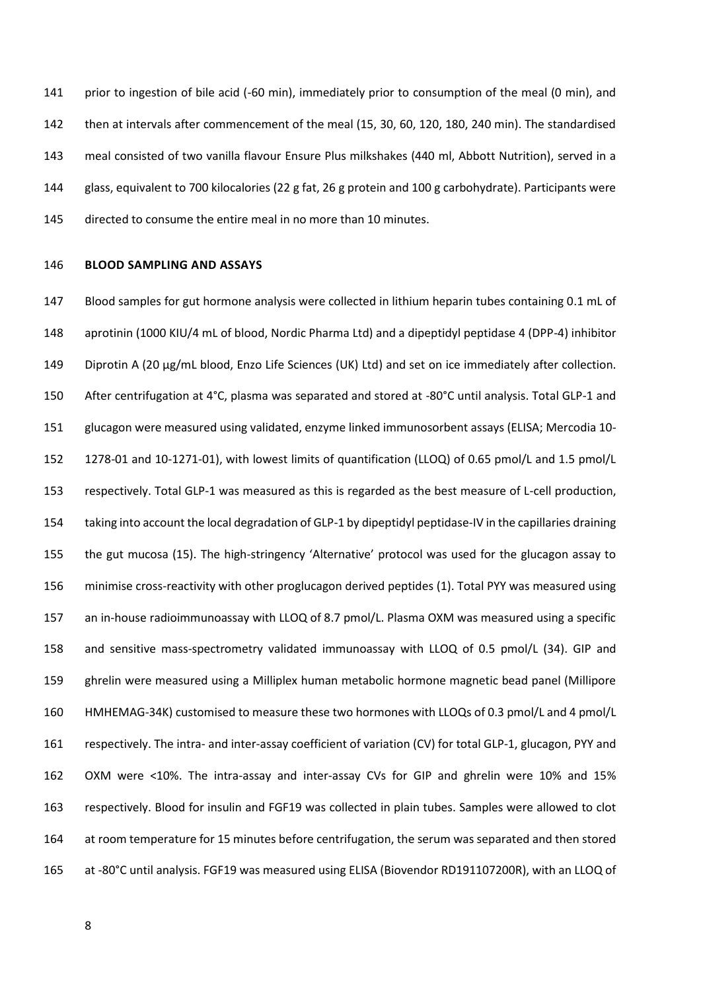prior to ingestion of bile acid (-60 min), immediately prior to consumption of the meal (0 min), and then at intervals after commencement of the meal (15, 30, 60, 120, 180, 240 min). The standardised meal consisted of two vanilla flavour Ensure Plus milkshakes (440 ml, Abbott Nutrition), served in a glass, equivalent to 700 kilocalories (22 g fat, 26 g protein and 100 g carbohydrate). Participants were directed to consume the entire meal in no more than 10 minutes.

### **BLOOD SAMPLING AND ASSAYS**

 Blood samples for gut hormone analysis were collected in lithium heparin tubes containing 0.1 mL of aprotinin (1000 KIU/4 mL of blood, Nordic Pharma Ltd) and a dipeptidyl peptidase 4 (DPP-4) inhibitor 149 Diprotin A (20 µg/mL blood, Enzo Life Sciences (UK) Ltd) and set on ice immediately after collection. After centrifugation at 4°C, plasma was separated and stored at -80°C until analysis. Total GLP-1 and glucagon were measured using validated, enzyme linked immunosorbent assays (ELISA; Mercodia 10- 1278-01 and 10-1271-01), with lowest limits of quantification (LLOQ) of 0.65 pmol/L and 1.5 pmol/L respectively. Total GLP-1 was measured as this is regarded as the best measure of L-cell production, taking into account the local degradation of GLP-1 by dipeptidyl peptidase-IV in the capillaries draining the gut mucosa (15). The high-stringency 'Alternative' protocol was used for the glucagon assay to minimise cross-reactivity with other proglucagon derived peptides (1). Total PYY was measured using an in-house radioimmunoassay with LLOQ of 8.7 pmol/L. Plasma OXM was measured using a specific and sensitive mass-spectrometry validated immunoassay with LLOQ of 0.5 pmol/L (34). GIP and ghrelin were measured using a Milliplex human metabolic hormone magnetic bead panel (Millipore HMHEMAG-34K) customised to measure these two hormones with LLOQs of 0.3 pmol/L and 4 pmol/L respectively. The intra- and inter-assay coefficient of variation (CV) for total GLP-1, glucagon, PYY and OXM were <10%. The intra-assay and inter-assay CVs for GIP and ghrelin were 10% and 15% respectively. Blood for insulin and FGF19 was collected in plain tubes. Samples were allowed to clot at room temperature for 15 minutes before centrifugation, the serum was separated and then stored at -80°C until analysis. FGF19 was measured using ELISA (Biovendor RD191107200R), with an LLOQ of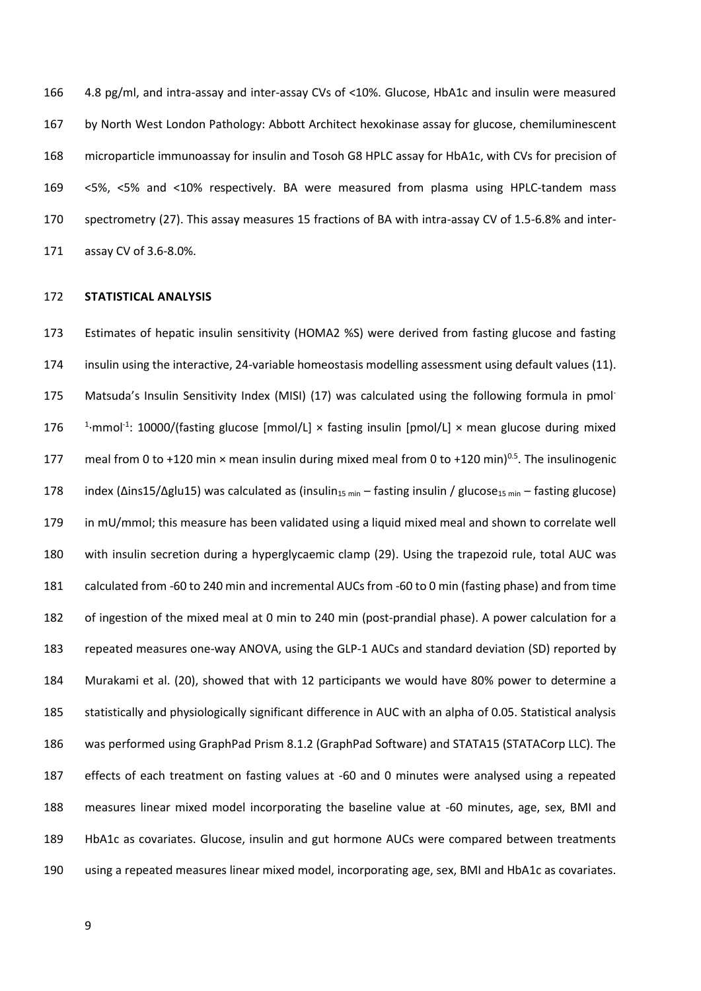4.8 pg/ml, and intra-assay and inter-assay CVs of <10%. Glucose, HbA1c and insulin were measured by North West London Pathology: Abbott Architect hexokinase assay for glucose, chemiluminescent microparticle immunoassay for insulin and Tosoh G8 HPLC assay for HbA1c, with CVs for precision of <5%, <5% and <10% respectively. BA were measured from plasma using HPLC-tandem mass spectrometry (27). This assay measures 15 fractions of BA with intra-assay CV of 1.5-6.8% and inter-assay CV of 3.6-8.0%.

#### **STATISTICAL ANALYSIS**

 Estimates of hepatic insulin sensitivity (HOMA2 %S) were derived from fasting glucose and fasting insulin using the interactive, 24-variable homeostasis modelling assessment using default values (11). 175 Matsuda's Insulin Sensitivity Index (MISI) (17) was calculated using the following formula in pmol-176 <sup>1</sup>·mmol<sup>-1</sup>: 10000/(fasting glucose [mmol/L] × fasting insulin [pmol/L] × mean glucose during mixed 177 meal from 0 to +120 min  $\times$  mean insulin during mixed meal from 0 to +120 min)<sup>0.5</sup>. The insulinogenic 178 index ( $\Delta$ ins15/ $\Delta$ glu15) was calculated as (insulin<sub>15 min</sub> – fasting insulin / glucose<sub>15 min</sub> – fasting glucose) 179 in mU/mmol; this measure has been validated using a liquid mixed meal and shown to correlate well with insulin secretion during a hyperglycaemic clamp (29). Using the trapezoid rule, total AUC was calculated from -60 to 240 min and incremental AUCs from -60 to 0 min (fasting phase) and from time of ingestion of the mixed meal at 0 min to 240 min (post-prandial phase). A power calculation for a repeated measures one-way ANOVA, using the GLP-1 AUCs and standard deviation (SD) reported by Murakami et al. (20), showed that with 12 participants we would have 80% power to determine a statistically and physiologically significant difference in AUC with an alpha of 0.05. Statistical analysis was performed using GraphPad Prism 8.1.2 (GraphPad Software) and STATA15 (STATACorp LLC). The effects of each treatment on fasting values at -60 and 0 minutes were analysed using a repeated measures linear mixed model incorporating the baseline value at -60 minutes, age, sex, BMI and HbA1c as covariates. Glucose, insulin and gut hormone AUCs were compared between treatments using a repeated measures linear mixed model, incorporating age, sex, BMI and HbA1c as covariates.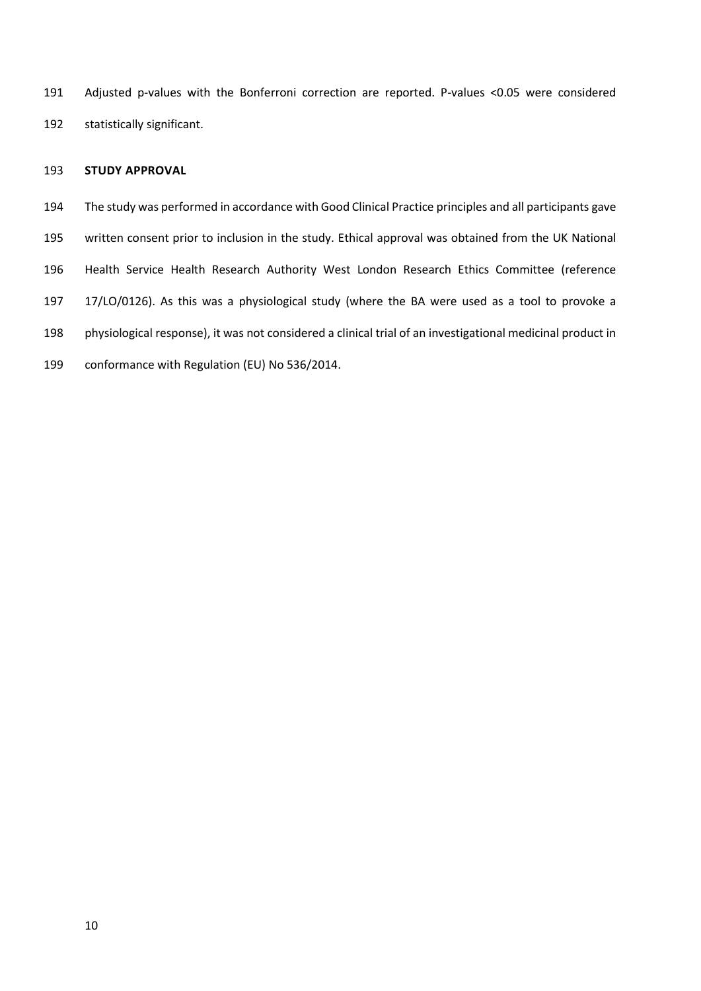Adjusted p-values with the Bonferroni correction are reported. P-values <0.05 were considered statistically significant.

## **STUDY APPROVAL**

 The study was performed in accordance with Good Clinical Practice principles and all participants gave written consent prior to inclusion in the study. Ethical approval was obtained from the UK National Health Service Health Research Authority West London Research Ethics Committee (reference 17/LO/0126). As this was a physiological study (where the BA were used as a tool to provoke a physiological response), it was not considered a clinical trial of an investigational medicinal product in conformance with Regulation (EU) No 536/2014.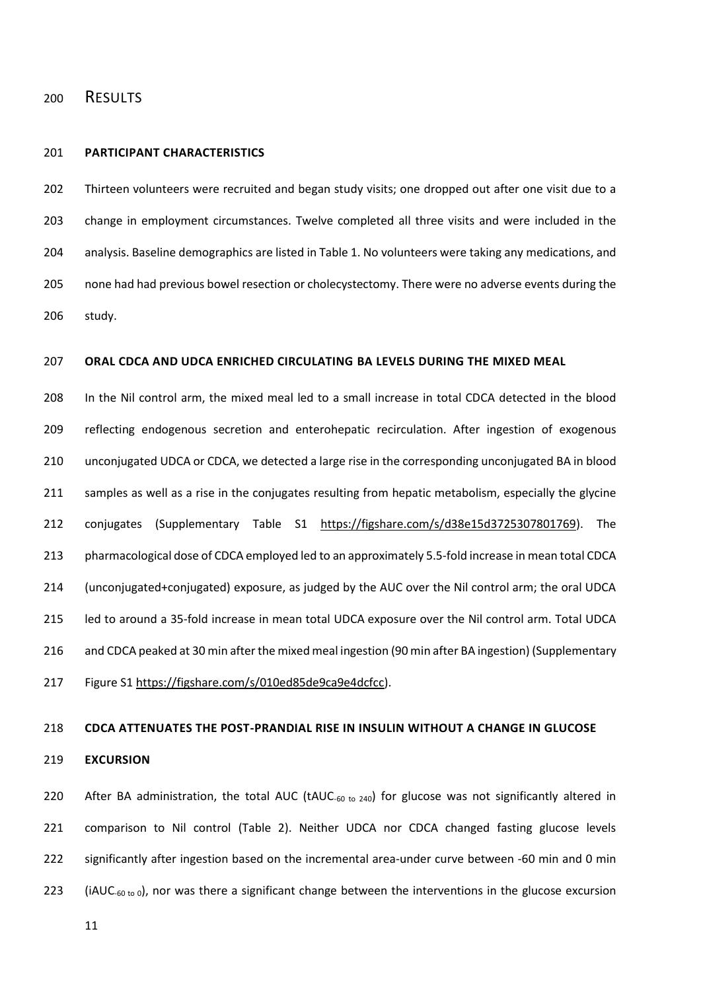## RESULTS

#### **PARTICIPANT CHARACTERISTICS**

202 Thirteen volunteers were recruited and began study visits; one dropped out after one visit due to a change in employment circumstances. Twelve completed all three visits and were included in the analysis. Baseline demographics are listed in Table 1. No volunteers were taking any medications, and none had had previous bowel resection or cholecystectomy. There were no adverse events during the study.

### **ORAL CDCA AND UDCA ENRICHED CIRCULATING BA LEVELS DURING THE MIXED MEAL**

 In the Nil control arm, the mixed meal led to a small increase in total CDCA detected in the blood reflecting endogenous secretion and enterohepatic recirculation. After ingestion of exogenous unconjugated UDCA or CDCA, we detected a large rise in the corresponding unconjugated BA in blood 211 samples as well as a rise in the conjugates resulting from hepatic metabolism, especially the glycine 212 conjugates (Supplementary Table S1 [https://figshare.com/s/d38e15d3725307801769\)](https://figshare.com/s/d38e15d3725307801769). The pharmacological dose of CDCA employed led to an approximately 5.5-fold increase in mean total CDCA (unconjugated+conjugated) exposure, as judged by the AUC over the Nil control arm; the oral UDCA led to around a 35-fold increase in mean total UDCA exposure over the Nil control arm. Total UDCA and CDCA peaked at 30 min after the mixed meal ingestion (90 min after BA ingestion) (Supplementary 217 Figure S[1 https://figshare.com/s/010ed85de9ca9e4dcfcc\)](https://figshare.com/s/010ed85de9ca9e4dcfcc).

## **CDCA ATTENUATES THE POST-PRANDIAL RISE IN INSULIN WITHOUT A CHANGE IN GLUCOSE**

#### **EXCURSION**

220 After BA administration, the total AUC (tAUC- to  $240$ ) for glucose was not significantly altered in comparison to Nil control (Table 2). Neither UDCA nor CDCA changed fasting glucose levels significantly after ingestion based on the incremental area-under curve between -60 min and 0 min (iAUC-60 to 0), nor was there a significant change between the interventions in the glucose excursion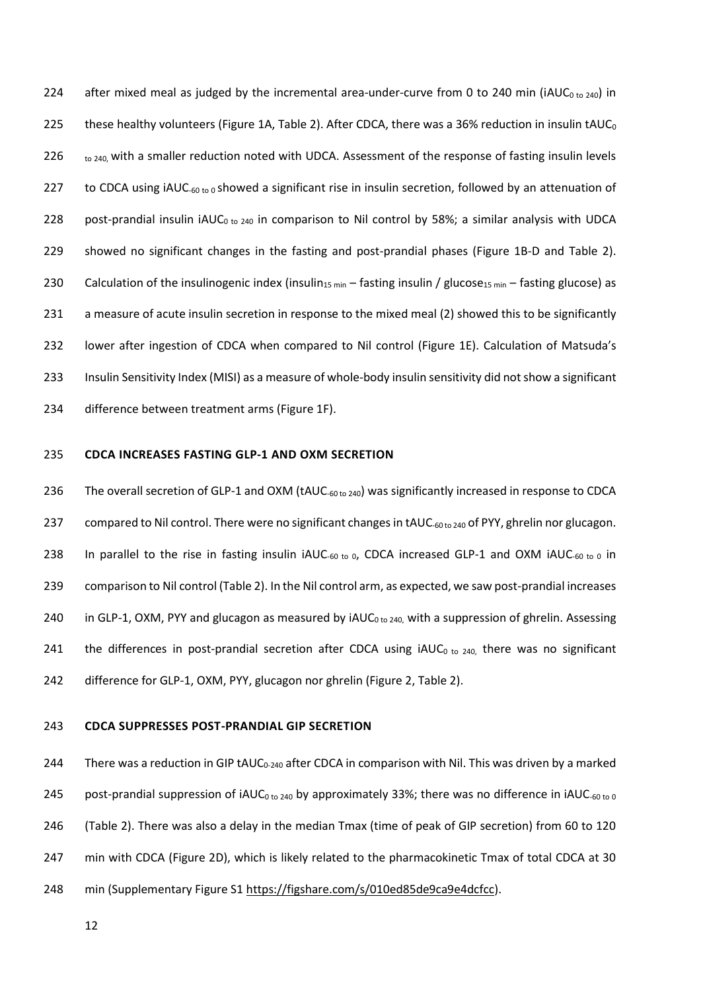224 after mixed meal as judged by the incremental area-under-curve from 0 to 240 min (iAUC<sub>0 to 240</sub>) in 225 these healthy volunteers (Figure 1A, Table 2). After CDCA, there was a 36% reduction in insulin tAUC<sub>0</sub> 226  $\frac{1}{10}$   $\frac{240}{10}$  with a smaller reduction noted with UDCA. Assessment of the response of fasting insulin levels 227 to CDCA using iAUC-60 to 0 showed a significant rise in insulin secretion, followed by an attenuation of 228 post-prandial insulin iAUC<sub>0 to 240</sub> in comparison to Nil control by 58%; a similar analysis with UDCA 229 showed no significant changes in the fasting and post-prandial phases (Figure 1B-D and Table 2). 230 Calculation of the insulinogenic index (insulin<sub>15 min</sub> – fasting insulin / glucose<sub>15 min</sub> – fasting glucose) as 231 a measure of acute insulin secretion in response to the mixed meal (2) showed this to be significantly 232 lower after ingestion of CDCA when compared to Nil control (Figure 1E). Calculation of Matsuda's 233 Insulin Sensitivity Index (MISI) as a measure of whole-body insulin sensitivity did not show a significant 234 difference between treatment arms (Figure 1F).

#### 235 **CDCA INCREASES FASTING GLP-1 AND OXM SECRETION**

236 The overall secretion of GLP-1 and OXM (tAUC-60 to 240) was significantly increased in response to CDCA 237 compared to Nil control. There were no significant changes in tAUC-60 to 240 of PYY, ghrelin nor glucagon. 238 In parallel to the rise in fasting insulin  $i$ AUC- $60 \text{ to } 0$ , CDCA increased GLP-1 and OXM  $i$ AUC- $60 \text{ to } 0$  in 239 comparison to Nil control (Table 2). In the Nil control arm, as expected, we saw post-prandial increases 240 in GLP-1, OXM, PYY and glucagon as measured by  $iAUC<sub>0 to 240</sub>$  with a suppression of ghrelin. Assessing 241 the differences in post-prandial secretion after CDCA using  $iAUC<sub>0 to 240</sub>$ , there was no significant 242 difference for GLP-1, OXM, PYY, glucagon nor ghrelin (Figure 2, Table 2).

#### 243 **CDCA SUPPRESSES POST-PRANDIAL GIP SECRETION**

244 There was a reduction in GIP tAUC<sub>0-240</sub> after CDCA in comparison with Nil. This was driven by a marked 245 post-prandial suppression of iAUC<sub>0 to 240</sub> by approximately 33%; there was no difference in iAUC-60 to 0 246 (Table 2). There was also a delay in the median Tmax (time of peak of GIP secretion) from 60 to 120 247 min with CDCA (Figure 2D), which is likely related to the pharmacokinetic Tmax of total CDCA at 30 248 min (Supplementary Figure S1 [https://figshare.com/s/010ed85de9ca9e4dcfcc\)](https://figshare.com/s/010ed85de9ca9e4dcfcc).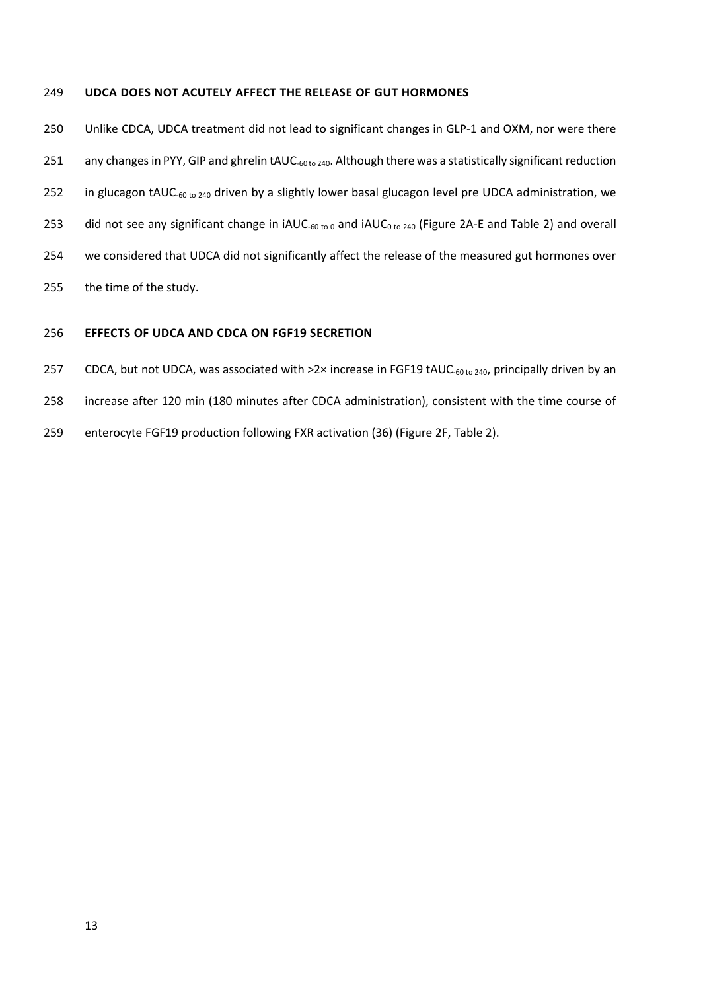#### **UDCA DOES NOT ACUTELY AFFECT THE RELEASE OF GUT HORMONES**

 Unlike CDCA, UDCA treatment did not lead to significant changes in GLP-1 and OXM, nor were there 251 any changes in PYY, GIP and ghrelin tAUC-<sub>60 to 240</sub>. Although there was a statistically significant reduction 252 in glucagon tAUC-60 to 240 driven by a slightly lower basal glucagon level pre UDCA administration, we 253 did not see any significant change in  $i$ AUC<sub>-60 to 0</sub> and  $i$ AUC<sub>0 to 240</sub> (Figure 2A-E and Table 2) and overall we considered that UDCA did not significantly affect the release of the measured gut hormones over the time of the study.

## **EFFECTS OF UDCA AND CDCA ON FGF19 SECRETION**

257 CDCA, but not UDCA, was associated with >2× increase in FGF19 tAUC-60 to 240, principally driven by an

- increase after 120 min (180 minutes after CDCA administration), consistent with the time course of
- enterocyte FGF19 production following FXR activation (36) (Figure 2F, Table 2).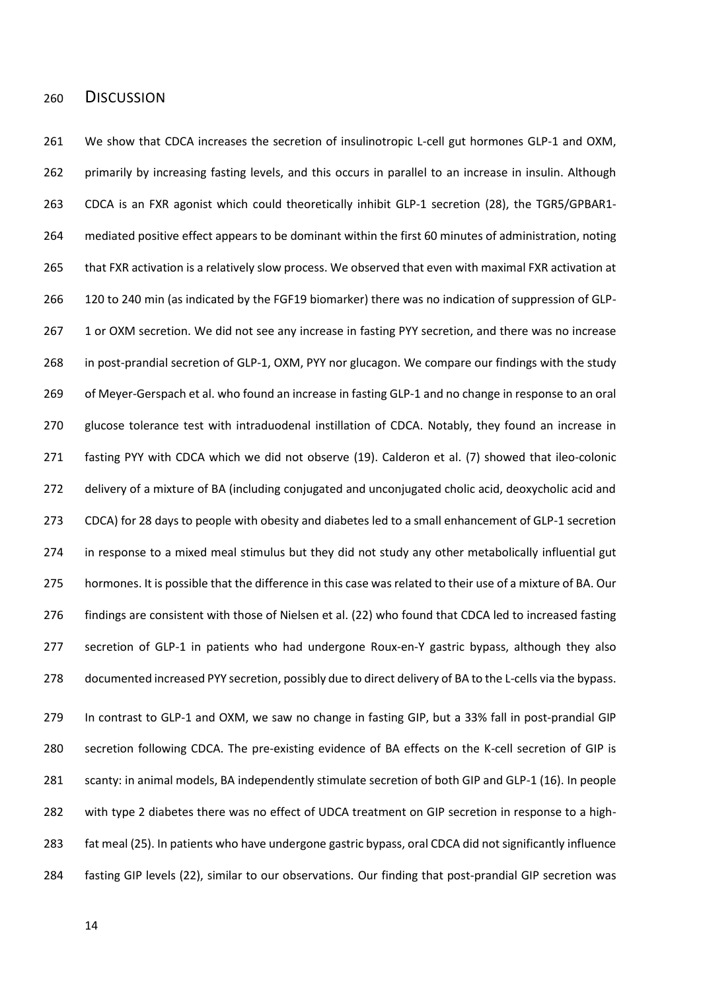## DISCUSSION

 We show that CDCA increases the secretion of insulinotropic L-cell gut hormones GLP-1 and OXM, 262 primarily by increasing fasting levels, and this occurs in parallel to an increase in insulin. Although CDCA is an FXR agonist which could theoretically inhibit GLP-1 secretion (28), the TGR5/GPBAR1- mediated positive effect appears to be dominant within the first 60 minutes of administration, noting 265 that FXR activation is a relatively slow process. We observed that even with maximal FXR activation at 120 to 240 min (as indicated by the FGF19 biomarker) there was no indication of suppression of GLP-267 1 or OXM secretion. We did not see any increase in fasting PYY secretion, and there was no increase in post-prandial secretion of GLP-1, OXM, PYY nor glucagon. We compare our findings with the study of Meyer-Gerspach et al. who found an increase in fasting GLP-1 and no change in response to an oral glucose tolerance test with intraduodenal instillation of CDCA. Notably, they found an increase in fasting PYY with CDCA which we did not observe (19). Calderon et al. (7) showed that ileo-colonic delivery of a mixture of BA (including conjugated and unconjugated cholic acid, deoxycholic acid and CDCA) for 28 days to people with obesity and diabetes led to a small enhancement of GLP-1 secretion in response to a mixed meal stimulus but they did not study any other metabolically influential gut hormones. It is possible that the difference in this case was related to their use of a mixture of BA. Our findings are consistent with those of Nielsen et al. (22) who found that CDCA led to increased fasting secretion of GLP-1 in patients who had undergone Roux-en-Y gastric bypass, although they also documented increased PYY secretion, possibly due to direct delivery of BA to the L-cells via the bypass. In contrast to GLP-1 and OXM, we saw no change in fasting GIP, but a 33% fall in post-prandial GIP secretion following CDCA. The pre-existing evidence of BA effects on the K-cell secretion of GIP is scanty: in animal models, BA independently stimulate secretion of both GIP and GLP-1 (16). In people with type 2 diabetes there was no effect of UDCA treatment on GIP secretion in response to a high- fat meal (25). In patients who have undergone gastric bypass, oral CDCA did not significantly influence fasting GIP levels (22), similar to our observations. Our finding that post-prandial GIP secretion was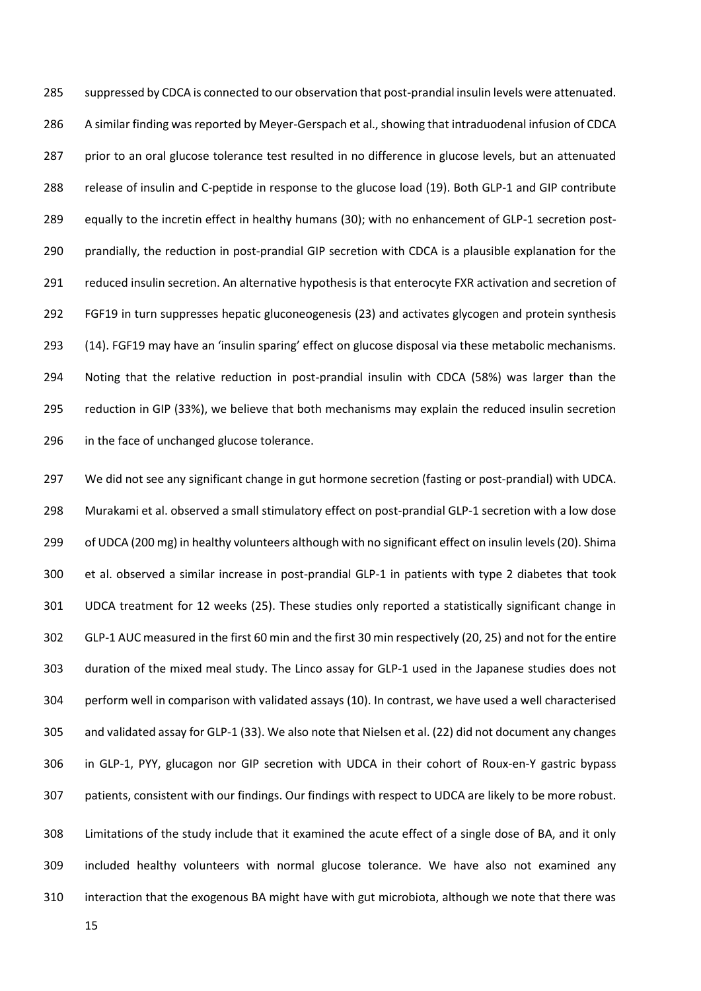suppressed by CDCA is connected to our observation that post-prandial insulin levels were attenuated. 286 A similar finding was reported by Meyer-Gerspach et al., showing that intraduodenal infusion of CDCA 287 prior to an oral glucose tolerance test resulted in no difference in glucose levels, but an attenuated release of insulin and C-peptide in response to the glucose load (19). Both GLP-1 and GIP contribute equally to the incretin effect in healthy humans (30); with no enhancement of GLP-1 secretion post- prandially, the reduction in post-prandial GIP secretion with CDCA is a plausible explanation for the reduced insulin secretion. An alternative hypothesis is that enterocyte FXR activation and secretion of FGF19 in turn suppresses hepatic gluconeogenesis (23) and activates glycogen and protein synthesis (14). FGF19 may have an 'insulin sparing' effect on glucose disposal via these metabolic mechanisms. Noting that the relative reduction in post-prandial insulin with CDCA (58%) was larger than the reduction in GIP (33%), we believe that both mechanisms may explain the reduced insulin secretion in the face of unchanged glucose tolerance.

 We did not see any significant change in gut hormone secretion (fasting or post-prandial) with UDCA. Murakami et al. observed a small stimulatory effect on post-prandial GLP-1 secretion with a low dose of UDCA (200 mg) in healthy volunteers although with no significant effect on insulin levels (20). Shima et al. observed a similar increase in post-prandial GLP-1 in patients with type 2 diabetes that took UDCA treatment for 12 weeks (25). These studies only reported a statistically significant change in GLP-1 AUC measured in the first 60 min and the first 30 min respectively (20, 25) and not for the entire duration of the mixed meal study. The Linco assay for GLP-1 used in the Japanese studies does not perform well in comparison with validated assays (10). In contrast, we have used a well characterised and validated assay for GLP-1 (33). We also note that Nielsen et al. (22) did not document any changes in GLP-1, PYY, glucagon nor GIP secretion with UDCA in their cohort of Roux-en-Y gastric bypass patients, consistent with our findings. Our findings with respect to UDCA are likely to be more robust. Limitations of the study include that it examined the acute effect of a single dose of BA, and it only

 included healthy volunteers with normal glucose tolerance. We have also not examined any interaction that the exogenous BA might have with gut microbiota, although we note that there was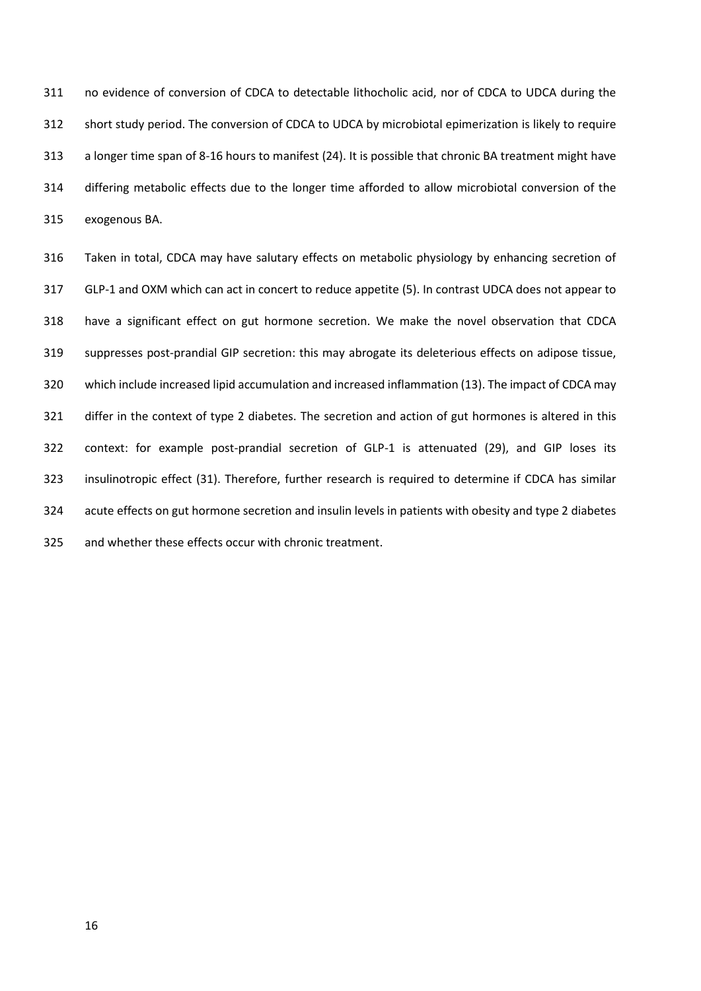no evidence of conversion of CDCA to detectable lithocholic acid, nor of CDCA to UDCA during the short study period. The conversion of CDCA to UDCA by microbiotal epimerization is likely to require a longer time span of 8-16 hours to manifest (24). It is possible that chronic BA treatment might have differing metabolic effects due to the longer time afforded to allow microbiotal conversion of the exogenous BA.

 Taken in total, CDCA may have salutary effects on metabolic physiology by enhancing secretion of GLP-1 and OXM which can act in concert to reduce appetite (5). In contrast UDCA does not appear to have a significant effect on gut hormone secretion. We make the novel observation that CDCA suppresses post-prandial GIP secretion: this may abrogate its deleterious effects on adipose tissue, which include increased lipid accumulation and increased inflammation (13). The impact of CDCA may differ in the context of type 2 diabetes. The secretion and action of gut hormones is altered in this context: for example post-prandial secretion of GLP-1 is attenuated (29), and GIP loses its insulinotropic effect (31). Therefore, further research is required to determine if CDCA has similar acute effects on gut hormone secretion and insulin levels in patients with obesity and type 2 diabetes and whether these effects occur with chronic treatment.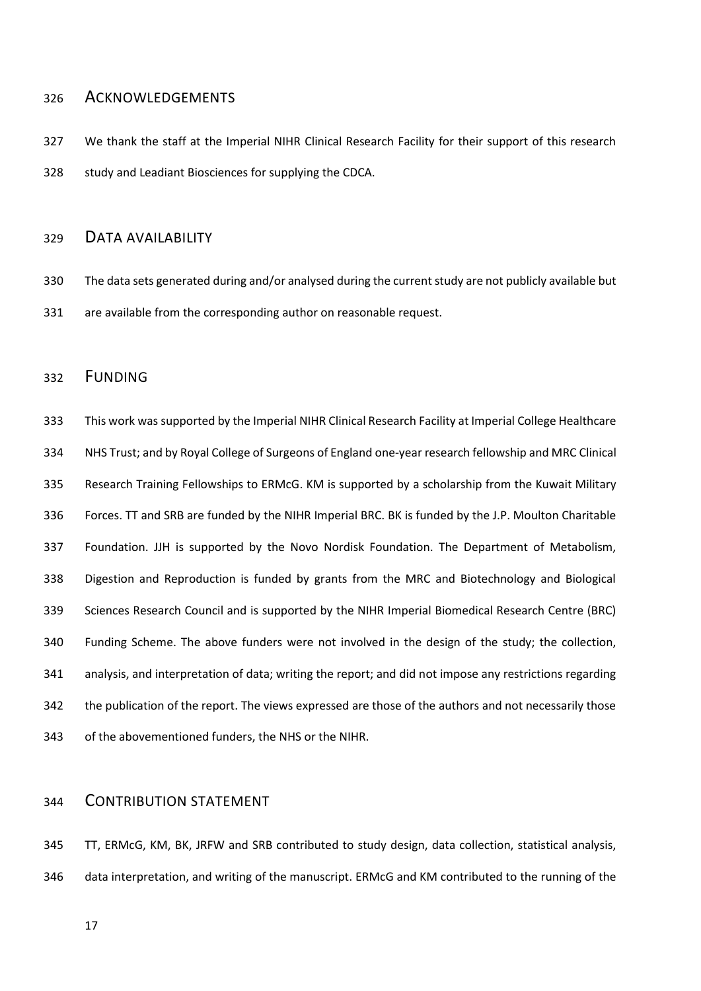## ACKNOWLEDGEMENTS

 We thank the staff at the Imperial NIHR Clinical Research Facility for their support of this research study and Leadiant Biosciences for supplying the CDCA.

## DATA AVAILABILITY

 The data sets generated during and/or analysed during the current study are not publicly available but are available from the corresponding author on reasonable request.

## FUNDING

 This work was supported by the Imperial NIHR Clinical Research Facility at Imperial College Healthcare NHS Trust; and by Royal College of Surgeons of England one-year research fellowship and MRC Clinical Research Training Fellowships to ERMcG. KM is supported by a scholarship from the Kuwait Military Forces. TT and SRB are funded by the NIHR Imperial BRC. BK is funded by the J.P. Moulton Charitable Foundation. JJH is supported by the Novo Nordisk Foundation. The Department of Metabolism, Digestion and Reproduction is funded by grants from the MRC and Biotechnology and Biological Sciences Research Council and is supported by the NIHR Imperial Biomedical Research Centre (BRC) Funding Scheme. The above funders were not involved in the design of the study; the collection, analysis, and interpretation of data; writing the report; and did not impose any restrictions regarding 342 the publication of the report. The views expressed are those of the authors and not necessarily those of the abovementioned funders, the NHS or the NIHR.

## CONTRIBUTION STATEMENT

 TT, ERMcG, KM, BK, JRFW and SRB contributed to study design, data collection, statistical analysis, data interpretation, and writing of the manuscript. ERMcG and KM contributed to the running of the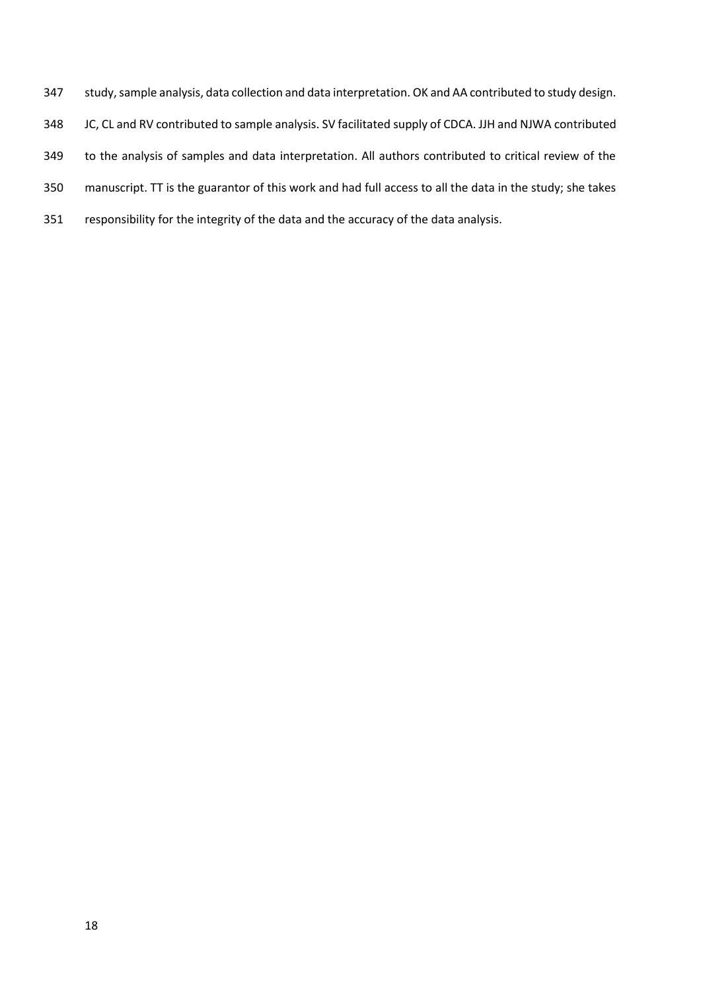- study, sample analysis, data collection and data interpretation. OK and AA contributed to study design.
- JC, CL and RV contributed to sample analysis. SV facilitated supply of CDCA. JJH and NJWA contributed
- to the analysis of samples and data interpretation. All authors contributed to critical review of the
- manuscript. TT is the guarantor of this work and had full access to all the data in the study; she takes
- responsibility for the integrity of the data and the accuracy of the data analysis.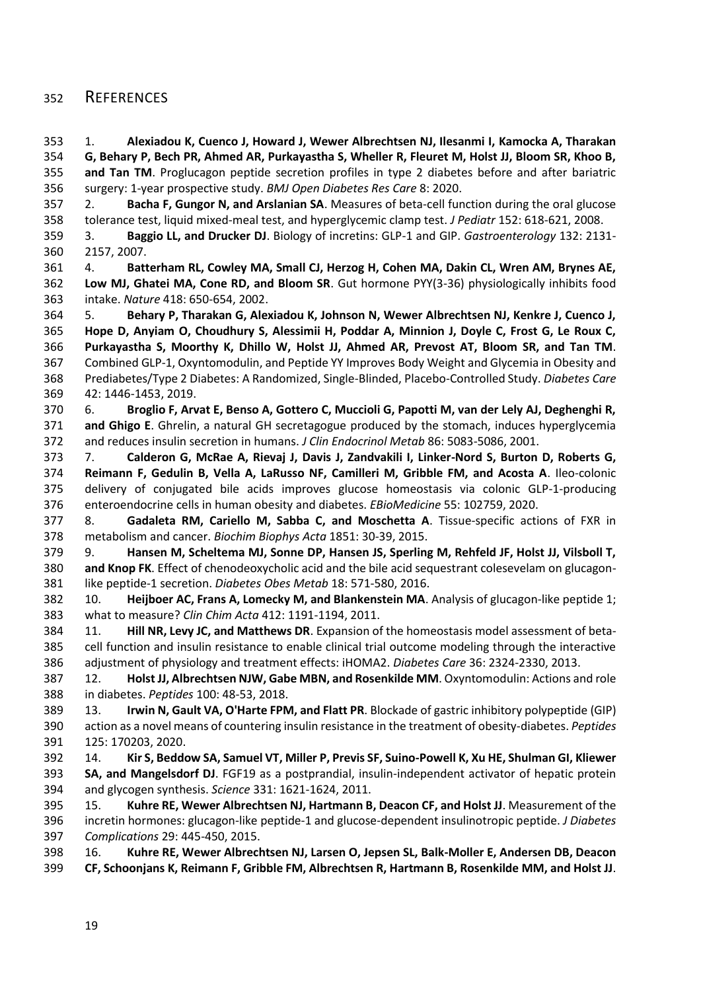## REFERENCES

 1. **Alexiadou K, Cuenco J, Howard J, Wewer Albrechtsen NJ, Ilesanmi I, Kamocka A, Tharakan G, Behary P, Bech PR, Ahmed AR, Purkayastha S, Wheller R, Fleuret M, Holst JJ, Bloom SR, Khoo B, and Tan TM**. Proglucagon peptide secretion profiles in type 2 diabetes before and after bariatric surgery: 1-year prospective study. *BMJ Open Diabetes Res Care* 8: 2020.

 2. **Bacha F, Gungor N, and Arslanian SA**. Measures of beta-cell function during the oral glucose tolerance test, liquid mixed-meal test, and hyperglycemic clamp test. *J Pediatr* 152: 618-621, 2008.

 3. **Baggio LL, and Drucker DJ**. Biology of incretins: GLP-1 and GIP. *Gastroenterology* 132: 2131- 2157, 2007.

 4. **Batterham RL, Cowley MA, Small CJ, Herzog H, Cohen MA, Dakin CL, Wren AM, Brynes AE, Low MJ, Ghatei MA, Cone RD, and Bloom SR**. Gut hormone PYY(3-36) physiologically inhibits food intake. *Nature* 418: 650-654, 2002.

 5. **Behary P, Tharakan G, Alexiadou K, Johnson N, Wewer Albrechtsen NJ, Kenkre J, Cuenco J, Hope D, Anyiam O, Choudhury S, Alessimii H, Poddar A, Minnion J, Doyle C, Frost G, Le Roux C, Purkayastha S, Moorthy K, Dhillo W, Holst JJ, Ahmed AR, Prevost AT, Bloom SR, and Tan TM**. Combined GLP-1, Oxyntomodulin, and Peptide YY Improves Body Weight and Glycemia in Obesity and Prediabetes/Type 2 Diabetes: A Randomized, Single-Blinded, Placebo-Controlled Study. *Diabetes Care*  42: 1446-1453, 2019.

 6. **Broglio F, Arvat E, Benso A, Gottero C, Muccioli G, Papotti M, van der Lely AJ, Deghenghi R, and Ghigo E**. Ghrelin, a natural GH secretagogue produced by the stomach, induces hyperglycemia and reduces insulin secretion in humans. *J Clin Endocrinol Metab* 86: 5083-5086, 2001.

 7. **Calderon G, McRae A, Rievaj J, Davis J, Zandvakili I, Linker-Nord S, Burton D, Roberts G, Reimann F, Gedulin B, Vella A, LaRusso NF, Camilleri M, Gribble FM, and Acosta A**. Ileo-colonic delivery of conjugated bile acids improves glucose homeostasis via colonic GLP-1-producing enteroendocrine cells in human obesity and diabetes. *EBioMedicine* 55: 102759, 2020.

 8. **Gadaleta RM, Cariello M, Sabba C, and Moschetta A**. Tissue-specific actions of FXR in metabolism and cancer. *Biochim Biophys Acta* 1851: 30-39, 2015.

 9. **Hansen M, Scheltema MJ, Sonne DP, Hansen JS, Sperling M, Rehfeld JF, Holst JJ, Vilsboll T, and Knop FK**. Effect of chenodeoxycholic acid and the bile acid sequestrant colesevelam on glucagon-like peptide-1 secretion. *Diabetes Obes Metab* 18: 571-580, 2016.

 10. **Heijboer AC, Frans A, Lomecky M, and Blankenstein MA**. Analysis of glucagon-like peptide 1; what to measure? *Clin Chim Acta* 412: 1191-1194, 2011.

 11. **Hill NR, Levy JC, and Matthews DR**. Expansion of the homeostasis model assessment of beta- cell function and insulin resistance to enable clinical trial outcome modeling through the interactive adjustment of physiology and treatment effects: iHOMA2. *Diabetes Care* 36: 2324-2330, 2013.

 12. **Holst JJ, Albrechtsen NJW, Gabe MBN, and Rosenkilde MM**. Oxyntomodulin: Actions and role in diabetes. *Peptides* 100: 48-53, 2018.

 13. **Irwin N, Gault VA, O'Harte FPM, and Flatt PR**. Blockade of gastric inhibitory polypeptide (GIP) action as a novel means of countering insulin resistance in the treatment of obesity-diabetes. *Peptides*  125: 170203, 2020.

 14. **Kir S, Beddow SA, Samuel VT, Miller P, Previs SF, Suino-Powell K, Xu HE, Shulman GI, Kliewer SA, and Mangelsdorf DJ**. FGF19 as a postprandial, insulin-independent activator of hepatic protein and glycogen synthesis. *Science* 331: 1621-1624, 2011.

 15. **Kuhre RE, Wewer Albrechtsen NJ, Hartmann B, Deacon CF, and Holst JJ**. Measurement of the incretin hormones: glucagon-like peptide-1 and glucose-dependent insulinotropic peptide. *J Diabetes Complications* 29: 445-450, 2015.

 16. **Kuhre RE, Wewer Albrechtsen NJ, Larsen O, Jepsen SL, Balk-Moller E, Andersen DB, Deacon CF, Schoonjans K, Reimann F, Gribble FM, Albrechtsen R, Hartmann B, Rosenkilde MM, and Holst JJ**.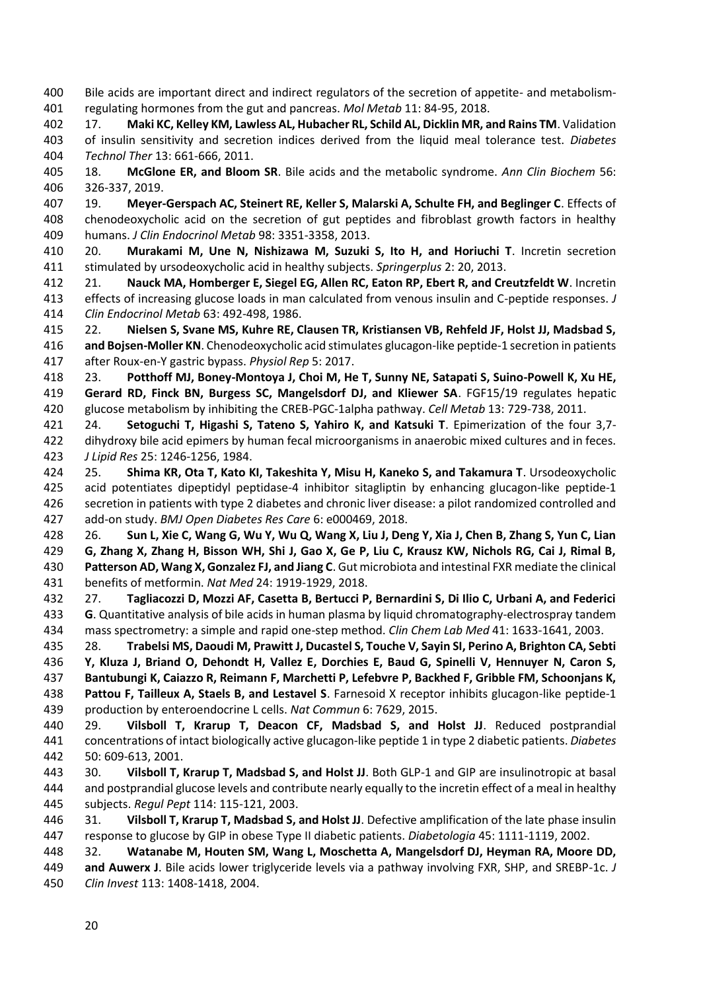Bile acids are important direct and indirect regulators of the secretion of appetite- and metabolism-regulating hormones from the gut and pancreas. *Mol Metab* 11: 84-95, 2018.

 17. **Maki KC, Kelley KM, Lawless AL, Hubacher RL, Schild AL, Dicklin MR, and Rains TM**. Validation of insulin sensitivity and secretion indices derived from the liquid meal tolerance test. *Diabetes Technol Ther* 13: 661-666, 2011.

 18. **McGlone ER, and Bloom SR**. Bile acids and the metabolic syndrome. *Ann Clin Biochem* 56: 326-337, 2019.

 19. **Meyer-Gerspach AC, Steinert RE, Keller S, Malarski A, Schulte FH, and Beglinger C**. Effects of chenodeoxycholic acid on the secretion of gut peptides and fibroblast growth factors in healthy humans. *J Clin Endocrinol Metab* 98: 3351-3358, 2013.

 20. **Murakami M, Une N, Nishizawa M, Suzuki S, Ito H, and Horiuchi T**. Incretin secretion stimulated by ursodeoxycholic acid in healthy subjects. *Springerplus* 2: 20, 2013.

 21. **Nauck MA, Homberger E, Siegel EG, Allen RC, Eaton RP, Ebert R, and Creutzfeldt W**. Incretin effects of increasing glucose loads in man calculated from venous insulin and C-peptide responses. *J Clin Endocrinol Metab* 63: 492-498, 1986.

 22. **Nielsen S, Svane MS, Kuhre RE, Clausen TR, Kristiansen VB, Rehfeld JF, Holst JJ, Madsbad S, and Bojsen-Moller KN**. Chenodeoxycholic acid stimulates glucagon-like peptide-1 secretion in patients after Roux-en-Y gastric bypass. *Physiol Rep* 5: 2017.

 23. **Potthoff MJ, Boney-Montoya J, Choi M, He T, Sunny NE, Satapati S, Suino-Powell K, Xu HE, Gerard RD, Finck BN, Burgess SC, Mangelsdorf DJ, and Kliewer SA**. FGF15/19 regulates hepatic glucose metabolism by inhibiting the CREB-PGC-1alpha pathway. *Cell Metab* 13: 729-738, 2011.

 24. **Setoguchi T, Higashi S, Tateno S, Yahiro K, and Katsuki T**. Epimerization of the four 3,7- dihydroxy bile acid epimers by human fecal microorganisms in anaerobic mixed cultures and in feces. *J Lipid Res* 25: 1246-1256, 1984.

 25. **Shima KR, Ota T, Kato KI, Takeshita Y, Misu H, Kaneko S, and Takamura T**. Ursodeoxycholic acid potentiates dipeptidyl peptidase-4 inhibitor sitagliptin by enhancing glucagon-like peptide-1 secretion in patients with type 2 diabetes and chronic liver disease: a pilot randomized controlled and add-on study. *BMJ Open Diabetes Res Care* 6: e000469, 2018.

 26. **Sun L, Xie C, Wang G, Wu Y, Wu Q, Wang X, Liu J, Deng Y, Xia J, Chen B, Zhang S, Yun C, Lian G, Zhang X, Zhang H, Bisson WH, Shi J, Gao X, Ge P, Liu C, Krausz KW, Nichols RG, Cai J, Rimal B, Patterson AD, Wang X, Gonzalez FJ, and Jiang C**. Gut microbiota and intestinal FXR mediate the clinical benefits of metformin. *Nat Med* 24: 1919-1929, 2018.

 27. **Tagliacozzi D, Mozzi AF, Casetta B, Bertucci P, Bernardini S, Di Ilio C, Urbani A, and Federici G**. Quantitative analysis of bile acids in human plasma by liquid chromatography-electrospray tandem mass spectrometry: a simple and rapid one-step method. *Clin Chem Lab Med* 41: 1633-1641, 2003.

 28. **Trabelsi MS, Daoudi M, Prawitt J, Ducastel S, Touche V, Sayin SI, Perino A, Brighton CA, Sebti Y, Kluza J, Briand O, Dehondt H, Vallez E, Dorchies E, Baud G, Spinelli V, Hennuyer N, Caron S, Bantubungi K, Caiazzo R, Reimann F, Marchetti P, Lefebvre P, Backhed F, Gribble FM, Schoonjans K, Pattou F, Tailleux A, Staels B, and Lestavel S**. Farnesoid X receptor inhibits glucagon-like peptide-1 production by enteroendocrine L cells. *Nat Commun* 6: 7629, 2015.

 29. **Vilsboll T, Krarup T, Deacon CF, Madsbad S, and Holst JJ**. Reduced postprandial concentrations of intact biologically active glucagon-like peptide 1 in type 2 diabetic patients. *Diabetes*  50: 609-613, 2001.

 30. **Vilsboll T, Krarup T, Madsbad S, and Holst JJ**. Both GLP-1 and GIP are insulinotropic at basal and postprandial glucose levels and contribute nearly equally to the incretin effect of a meal in healthy subjects. *Regul Pept* 114: 115-121, 2003.

 31. **Vilsboll T, Krarup T, Madsbad S, and Holst JJ**. Defective amplification of the late phase insulin response to glucose by GIP in obese Type II diabetic patients. *Diabetologia* 45: 1111-1119, 2002.

32. **Watanabe M, Houten SM, Wang L, Moschetta A, Mangelsdorf DJ, Heyman RA, Moore DD,** 

 **and Auwerx J**. Bile acids lower triglyceride levels via a pathway involving FXR, SHP, and SREBP-1c. *J Clin Invest* 113: 1408-1418, 2004.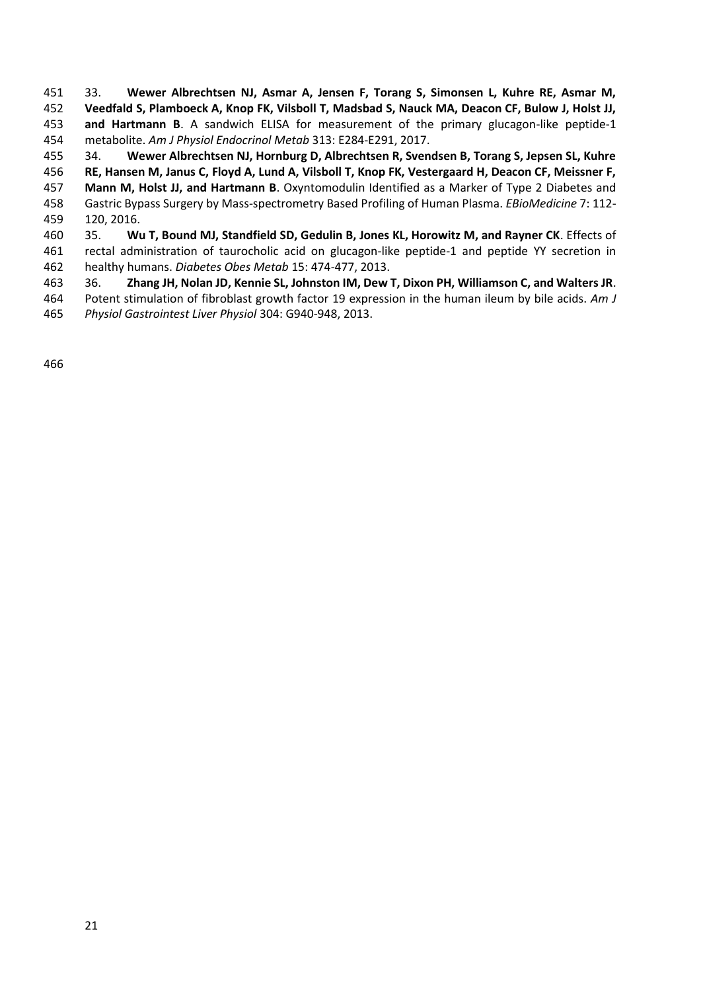33. **Wewer Albrechtsen NJ, Asmar A, Jensen F, Torang S, Simonsen L, Kuhre RE, Asmar M, Veedfald S, Plamboeck A, Knop FK, Vilsboll T, Madsbad S, Nauck MA, Deacon CF, Bulow J, Holst JJ, and Hartmann B**. A sandwich ELISA for measurement of the primary glucagon-like peptide-1 metabolite. *Am J Physiol Endocrinol Metab* 313: E284-E291, 2017.

34. **Wewer Albrechtsen NJ, Hornburg D, Albrechtsen R, Svendsen B, Torang S, Jepsen SL, Kuhre** 

 **RE, Hansen M, Janus C, Floyd A, Lund A, Vilsboll T, Knop FK, Vestergaard H, Deacon CF, Meissner F, Mann M, Holst JJ, and Hartmann B**. Oxyntomodulin Identified as a Marker of Type 2 Diabetes and

 Gastric Bypass Surgery by Mass-spectrometry Based Profiling of Human Plasma. *EBioMedicine* 7: 112- 120, 2016.

 35. **Wu T, Bound MJ, Standfield SD, Gedulin B, Jones KL, Horowitz M, and Rayner CK**. Effects of rectal administration of taurocholic acid on glucagon-like peptide-1 and peptide YY secretion in healthy humans. *Diabetes Obes Metab* 15: 474-477, 2013.

36. **Zhang JH, Nolan JD, Kennie SL, Johnston IM, Dew T, Dixon PH, Williamson C, and Walters JR**.

 Potent stimulation of fibroblast growth factor 19 expression in the human ileum by bile acids. *Am J Physiol Gastrointest Liver Physiol* 304: G940-948, 2013.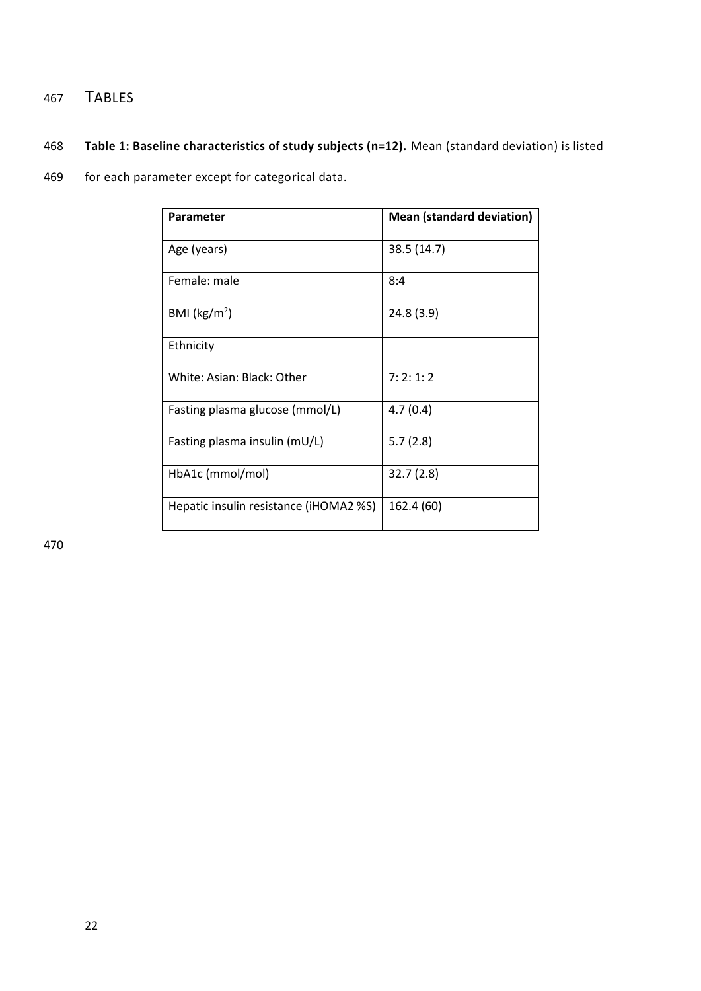# <sup>467</sup> TABLES

# 468 **Table 1: Baseline characteristics of study subjects (n=12).** Mean (standard deviation) is listed

469 for each parameter except for categorical data.

| Parameter                              | <b>Mean (standard deviation)</b> |
|----------------------------------------|----------------------------------|
| Age (years)                            | 38.5 (14.7)                      |
| Female: male                           | 8:4                              |
| BMI ( $\text{kg/m}^2$ )                | 24.8(3.9)                        |
| Ethnicity                              |                                  |
| White: Asian: Black: Other             | 7:2:1:2                          |
| Fasting plasma glucose (mmol/L)        | 4.7(0.4)                         |
| Fasting plasma insulin (mU/L)          | 5.7(2.8)                         |
| HbA1c (mmol/mol)                       | 32.7(2.8)                        |
| Hepatic insulin resistance (iHOMA2 %S) | 162.4 (60)                       |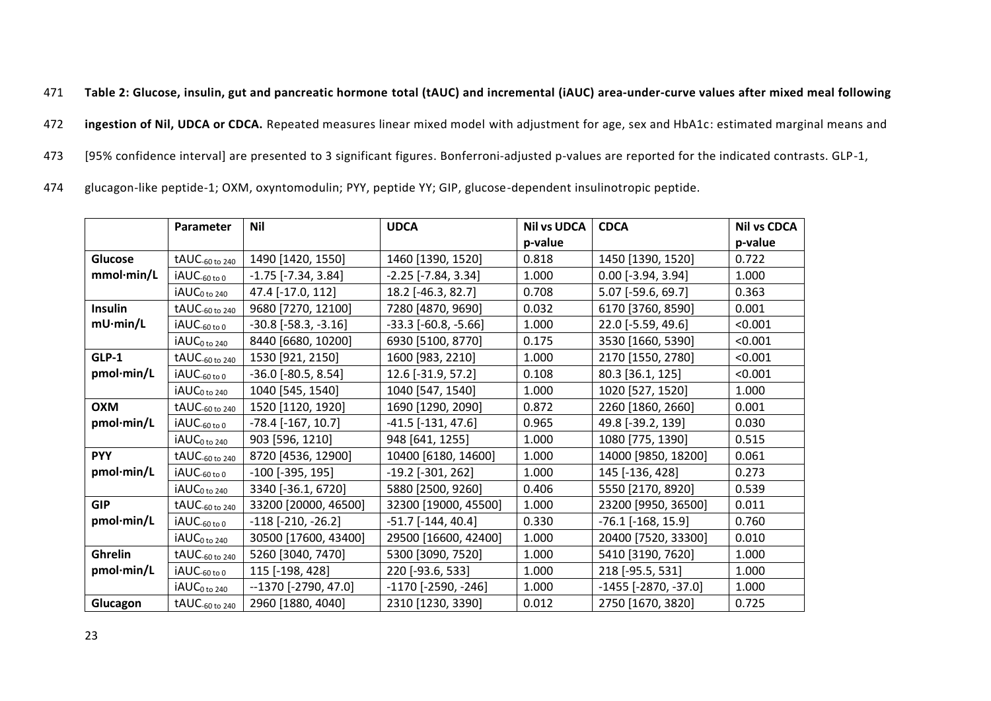471 **Table 2: Glucose, insulin, gut and pancreatic hormone total (tAUC) and incremental (iAUC) area-under-curve values after mixed meal following** 

472 **ingestion of Nil, UDCA or CDCA.** Repeated measures linear mixed model with adjustment for age, sex and HbA1c: estimated marginal means and

473 [95% confidence interval] are presented to 3 significant figures. Bonferroni-adjusted p-values are reported for the indicated contrasts. GLP-1,

474 glucagon-like peptide-1; OXM, oxyntomodulin; PYY, peptide YY; GIP, glucose-dependent insulinotropic peptide.

|                  | Parameter                        | <b>Nil</b>                   | <b>UDCA</b>                  | <b>Nil vs UDCA</b> | <b>CDCA</b>                 | <b>Nil vs CDCA</b> |
|------------------|----------------------------------|------------------------------|------------------------------|--------------------|-----------------------------|--------------------|
|                  |                                  |                              |                              | p-value            |                             | p-value            |
| <b>Glucose</b>   | tAUC-60 to 240                   | 1490 [1420, 1550]            | 1460 [1390, 1520]            | 0.818              | 1450 [1390, 1520]           | 0.722              |
| mmol·min/L       | iAUC-60 to 0                     | $-1.75$ [ $-7.34$ , $3.84$ ] | $-2.25$ [ $-7.84$ , $3.34$ ] | 1.000              | $0.00$ [-3.94, 3.94]        | 1.000              |
|                  | $i$ AU $C_{0}$ <sub>to 240</sub> | 47.4 [-17.0, 112]            | 18.2 [-46.3, 82.7]           | 0.708              | 5.07 [-59.6, 69.7]          | 0.363              |
| Insulin          | tAUC-60 to 240                   | 9680 [7270, 12100]           | 7280 [4870, 9690]            | 0.032              | 6170 [3760, 8590]           | 0.001              |
| $mU \cdot min/L$ | iAUC-60 to 0                     | $-30.8$ $[-58.3, -3.16]$     | $-33.3$ $[-60.8, -5.66]$     | 1.000              | 22.0 [-5.59, 49.6]          | < 0.001            |
|                  | iAUC <sub>0 to 240</sub>         | 8440 [6680, 10200]           | 6930 [5100, 8770]            | 0.175              | 3530 [1660, 5390]           | < 0.001            |
| $GLP-1$          | tAUC-60 to 240                   | 1530 [921, 2150]             | 1600 [983, 2210]             | 1.000              | 2170 [1550, 2780]           | < 0.001            |
| pmol·min/L       | iAUC-60 to 0                     | $-36.0$ [ $-80.5$ , 8.54]    | 12.6 [-31.9, 57.2]           | 0.108              | 80.3 [36.1, 125]            | < 0.001            |
|                  | $iAUC_{0 \text{ to } 240}$       | 1040 [545, 1540]             | 1040 [547, 1540]             | 1.000              | 1020 [527, 1520]            | 1.000              |
| <b>OXM</b>       | tAUC-60 to 240                   | 1520 [1120, 1920]            | 1690 [1290, 2090]            | 0.872              | 2260 [1860, 2660]           | 0.001              |
| pmol·min/L       | iAUC- <sub>60 to 0</sub>         | $-78.4$ [ $-167, 10.7$ ]     | $-41.5$ [ $-131, 47.6$ ]     | 0.965              | 49.8 [-39.2, 139]           | 0.030              |
|                  | iAUC <sub>0 to 240</sub>         | 903 [596, 1210]              | 948 [641, 1255]              | 1.000              | 1080 [775, 1390]            | 0.515              |
| <b>PYY</b>       | tAUC-60 to 240                   | 8720 [4536, 12900]           | 10400 [6180, 14600]          | 1.000              | 14000 [9850, 18200]         | 0.061              |
| pmol·min/L       | $iAUC_{-60 \text{ to } 0}$       | $-100$ [ $-395, 195$ ]       | $-19.2$ [ $-301, 262$ ]      | 1.000              | 145 [-136, 428]             | 0.273              |
|                  | $iAUC_{0 \text{ to } 240}$       | 3340 [-36.1, 6720]           | 5880 [2500, 9260]            | 0.406              | 5550 [2170, 8920]           | 0.539              |
| <b>GIP</b>       | tAUC-60 to 240                   | 33200 [20000, 46500]         | 32300 [19000, 45500]         | 1.000              | 23200 [9950, 36500]         | 0.011              |
| pmol·min/L       | iAUC-60 to 0                     | $-118$ $[-210, -26.2]$       | $-51.7$ [ $-144$ , 40.4]     | 0.330              | $-76.1$ [ $-168$ , $15.9$ ] | 0.760              |
|                  | iAUC <sub>0 to 240</sub>         | 30500 [17600, 43400]         | 29500 [16600, 42400]         | 1.000              | 20400 [7520, 33300]         | 0.010              |
| Ghrelin          | tAUC-60 to 240                   | 5260 [3040, 7470]            | 5300 [3090, 7520]            | 1.000              | 5410 [3190, 7620]           | 1.000              |
| pmol·min/L       | $i$ AUC-60 to 0                  | 115 [-198, 428]              | 220 [-93.6, 533]             | 1.000              | 218 [-95.5, 531]            | 1.000              |
|                  | iAUC <sub>0 to 240</sub>         | $-1370$ [-2790, 47.0]        | $-1170$ [ $-2590$ , $-246$ ] | 1.000              | $-1455$ [ $-2870, -37.0$ ]  | 1.000              |
| Glucagon         | $tAUC_{-60 \text{ to } 240}$     | 2960 [1880, 4040]            | 2310 [1230, 3390]            | 0.012              | 2750 [1670, 3820]           | 0.725              |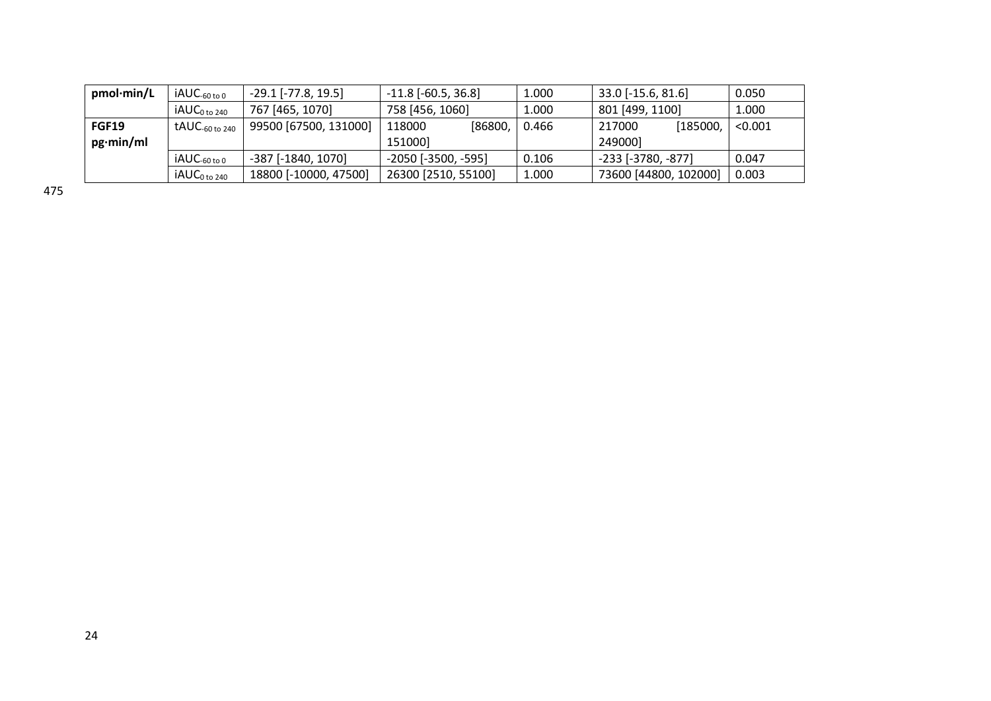| pmol·min/L       | $IAUC_{-60 \text{ to } 0}$  | $-29.1$ [ $-77.8$ , 19.5] | $-11.8$ [ $-60.5$ , 36.8]    | 1.000 | $33.0$ [-15.6, 81.6]  | 0.050   |
|------------------|-----------------------------|---------------------------|------------------------------|-------|-----------------------|---------|
|                  | $iAUC_{0 \text{ to } 240}$  | 767 [465, 1070]           | 758 [456, 1060]              | 1.000 | 801 [499, 1100]       | 1.000   |
| <b>FGF19</b>     | $t$ AUC-60 to 240           | 99500 [67500, 131000]     | ,86800)<br>118000            | 0.466 | [185000,<br>217000    | < 0.001 |
| $pg\cdot min/ml$ |                             |                           | 151000]                      |       | 2490001               |         |
|                  | $i$ AUC <sub>-60 to 0</sub> | $-387$ [ $-1840$ , 1070]  | $-2050$ [ $-3500$ , $-595$ ] | 0.106 | -233 [-3780, -877]    | 0.047   |
|                  | iAUC <sub>0 to 240</sub>    | 18800 [-10000, 47500]     | 26300 [2510, 55100]          | 1.000 | 73600 [44800, 102000] | 0.003   |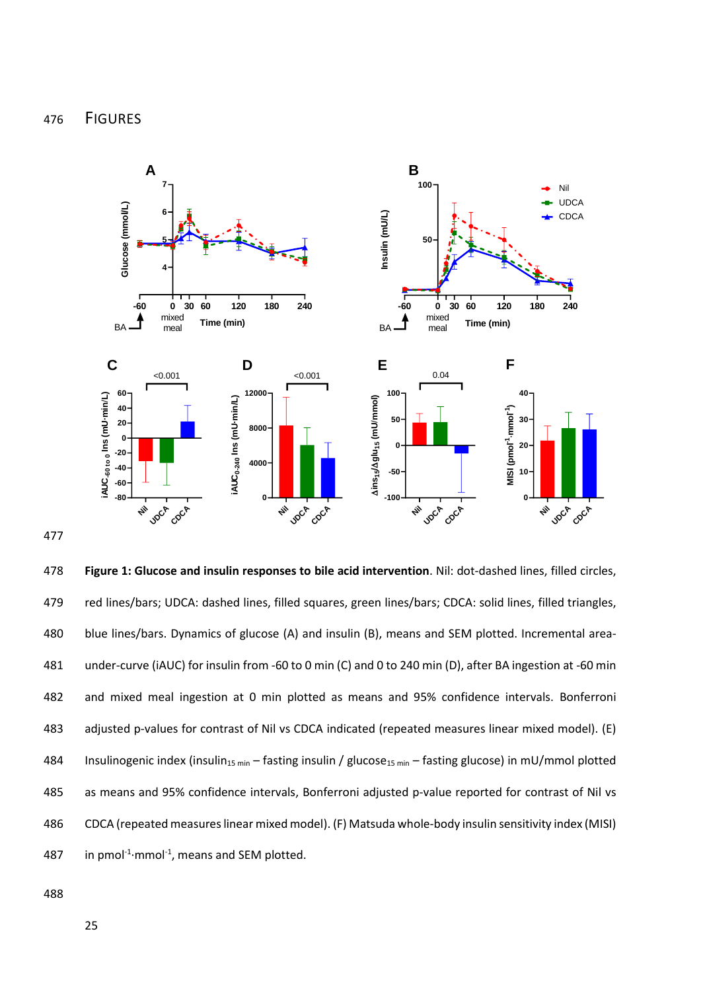

477

478 **Figure 1: Glucose and insulin responses to bile acid intervention**. Nil: dot-dashed lines, filled circles, 479 red lines/bars; UDCA: dashed lines, filled squares, green lines/bars; CDCA: solid lines, filled triangles, 480 blue lines/bars. Dynamics of glucose (A) and insulin (B), means and SEM plotted. Incremental area-481 under-curve (iAUC) for insulin from -60 to 0 min (C) and 0 to 240 min (D), after BA ingestion at -60 min 482 and mixed meal ingestion at 0 min plotted as means and 95% confidence intervals. Bonferroni 483 adjusted p-values for contrast of Nil vs CDCA indicated (repeated measures linear mixed model). (E) 484 Insulinogenic index (insulin<sub>15 min</sub> – fasting insulin / glucose<sub>15 min</sub> – fasting glucose) in mU/mmol plotted 485 as means and 95% confidence intervals, Bonferroni adjusted p-value reported for contrast of Nil vs 486 CDCA (repeated measures linear mixed model). (F) Matsuda whole-body insulin sensitivity index (MISI) 487 in pmol<sup>-1</sup> $\cdot$ mmol<sup>-1</sup>, means and SEM plotted.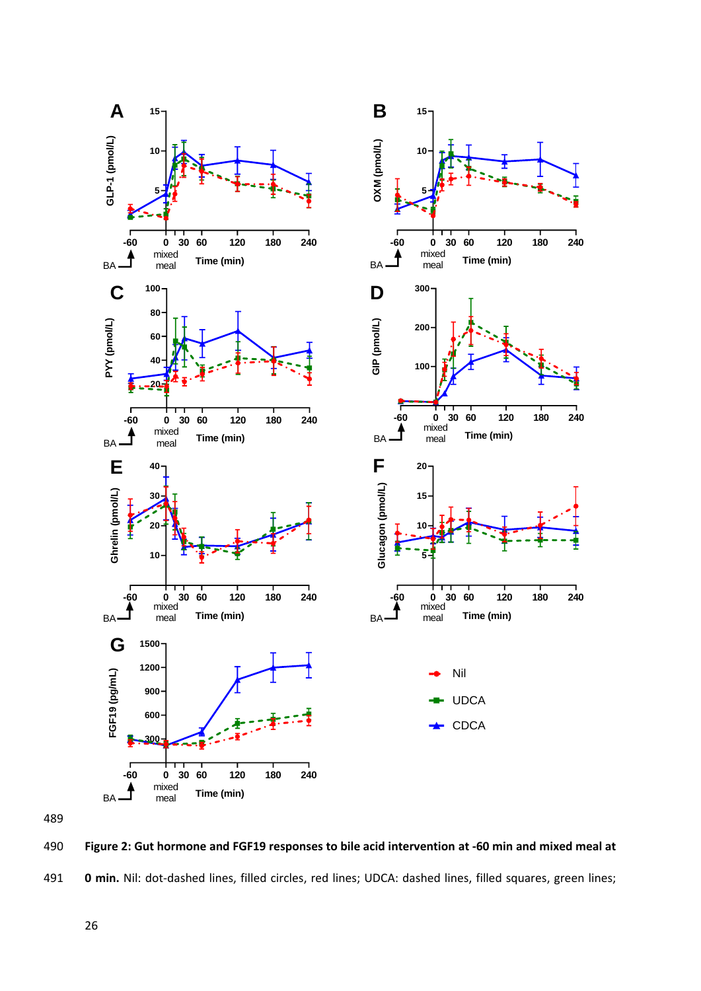

490 **Figure 2: Gut hormone and FGF19 responses to bile acid intervention at -60 min and mixed meal at**  491 **0 min.** Nil: dot-dashed lines, filled circles, red lines; UDCA: dashed lines, filled squares, green lines;